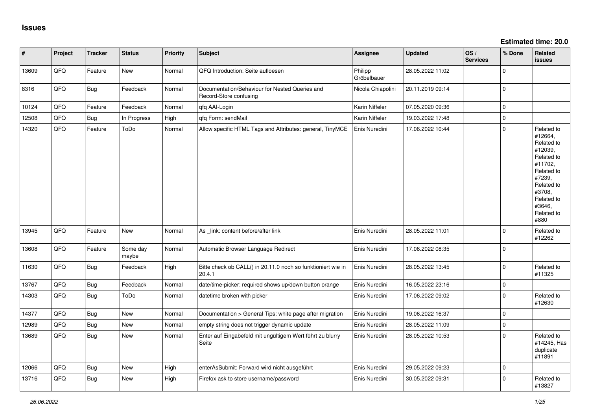| #     | Project | <b>Tracker</b> | <b>Status</b>     | <b>Priority</b> | <b>Subject</b>                                                           | Assignee               | <b>Updated</b>   | OS/<br><b>Services</b> | % Done      | Related<br>issues                                                                                                                                                     |
|-------|---------|----------------|-------------------|-----------------|--------------------------------------------------------------------------|------------------------|------------------|------------------------|-------------|-----------------------------------------------------------------------------------------------------------------------------------------------------------------------|
| 13609 | QFQ     | Feature        | New               | Normal          | QFQ Introduction: Seite aufloesen                                        | Philipp<br>Gröbelbauer | 28.05.2022 11:02 |                        | $\Omega$    |                                                                                                                                                                       |
| 8316  | QFQ     | Bug            | Feedback          | Normal          | Documentation/Behaviour for Nested Queries and<br>Record-Store confusing | Nicola Chiapolini      | 20.11.2019 09:14 |                        | $\Omega$    |                                                                                                                                                                       |
| 10124 | QFQ     | Feature        | Feedback          | Normal          | qfq AAI-Login                                                            | Karin Niffeler         | 07.05.2020 09:36 |                        | $\Omega$    |                                                                                                                                                                       |
| 12508 | QFQ     | <b>Bug</b>     | In Progress       | High            | qfq Form: sendMail                                                       | Karin Niffeler         | 19.03.2022 17:48 |                        | $\Omega$    |                                                                                                                                                                       |
| 14320 | QFQ     | Feature        | ToDo              | Normal          | Allow specific HTML Tags and Attributes: general, TinyMCE                | Enis Nuredini          | 17.06.2022 10:44 |                        | $\mathbf 0$ | Related to<br>#12664,<br>Related to<br>#12039,<br>Related to<br>#11702,<br>Related to<br>#7239,<br>Related to<br>#3708,<br>Related to<br>#3646,<br>Related to<br>#880 |
| 13945 | QFQ     | Feature        | New               | Normal          | As link: content before/after link                                       | Enis Nuredini          | 28.05.2022 11:01 |                        | $\Omega$    | Related to<br>#12262                                                                                                                                                  |
| 13608 | QFQ     | Feature        | Some day<br>maybe | Normal          | Automatic Browser Language Redirect                                      | Enis Nuredini          | 17.06.2022 08:35 |                        | 0           |                                                                                                                                                                       |
| 11630 | QFQ     | Bug            | Feedback          | High            | Bitte check ob CALL() in 20.11.0 noch so funktioniert wie in<br>20.4.1   | Enis Nuredini          | 28.05.2022 13:45 |                        | $\Omega$    | Related to<br>#11325                                                                                                                                                  |
| 13767 | QFQ     | <b>Bug</b>     | Feedback          | Normal          | date/time-picker: required shows up/down button orange                   | Enis Nuredini          | 16.05.2022 23:16 |                        | 0           |                                                                                                                                                                       |
| 14303 | QFQ     | <b>Bug</b>     | ToDo              | Normal          | datetime broken with picker                                              | Enis Nuredini          | 17.06.2022 09:02 |                        | $\Omega$    | Related to<br>#12630                                                                                                                                                  |
| 14377 | QFQ     | Bug            | New               | Normal          | Documentation > General Tips: white page after migration                 | Enis Nuredini          | 19.06.2022 16:37 |                        | $\mathbf 0$ |                                                                                                                                                                       |
| 12989 | QFQ     | <b>Bug</b>     | <b>New</b>        | Normal          | empty string does not trigger dynamic update                             | Enis Nuredini          | 28.05.2022 11:09 |                        | $\Omega$    |                                                                                                                                                                       |
| 13689 | QFQ     | <b>Bug</b>     | New               | Normal          | Enter auf Eingabefeld mit ungültigem Wert führt zu blurry<br>Seite       | Enis Nuredini          | 28.05.2022 10:53 |                        | $\Omega$    | Related to<br>#14245, Has<br>duplicate<br>#11891                                                                                                                      |
| 12066 | QFQ     | <b>Bug</b>     | New               | High            | enterAsSubmit: Forward wird nicht ausgeführt                             | Enis Nuredini          | 29.05.2022 09:23 |                        | $\Omega$    |                                                                                                                                                                       |
| 13716 | QFQ     | <b>Bug</b>     | New               | High            | Firefox ask to store username/password                                   | Enis Nuredini          | 30.05.2022 09:31 |                        | $\Omega$    | Related to<br>#13827                                                                                                                                                  |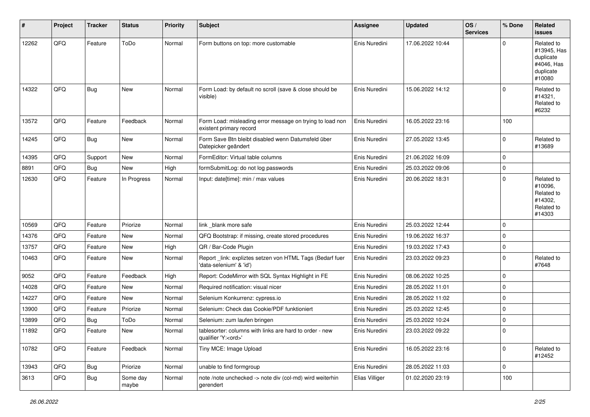| #     | Project | <b>Tracker</b> | <b>Status</b>     | <b>Priority</b> | <b>Subject</b>                                                                        | Assignee       | <b>Updated</b>   | OS/<br><b>Services</b> | % Done      | <b>Related</b><br><b>issues</b>                                             |
|-------|---------|----------------|-------------------|-----------------|---------------------------------------------------------------------------------------|----------------|------------------|------------------------|-------------|-----------------------------------------------------------------------------|
| 12262 | QFQ     | Feature        | ToDo              | Normal          | Form buttons on top: more customable                                                  | Enis Nuredini  | 17.06.2022 10:44 |                        | $\Omega$    | Related to<br>#13945, Has<br>duplicate<br>#4046, Has<br>duplicate<br>#10080 |
| 14322 | QFQ     | Bug            | New               | Normal          | Form Load: by default no scroll (save & close should be<br>visible)                   | Enis Nuredini  | 15.06.2022 14:12 |                        | $\Omega$    | Related to<br>#14321,<br>Related to<br>#6232                                |
| 13572 | QFQ     | Feature        | Feedback          | Normal          | Form Load: misleading error message on trying to load non<br>existent primary record  | Enis Nuredini  | 16.05.2022 23:16 |                        | 100         |                                                                             |
| 14245 | QFQ     | Bug            | New               | Normal          | Form Save Btn bleibt disabled wenn Datumsfeld über<br>Datepicker geändert             | Enis Nuredini  | 27.05.2022 13:45 |                        | $\mathbf 0$ | Related to<br>#13689                                                        |
| 14395 | QFQ     | Support        | New               | Normal          | FormEditor: Virtual table columns                                                     | Enis Nuredini  | 21.06.2022 16:09 |                        | $\mathbf 0$ |                                                                             |
| 8891  | QFQ     | <b>Bug</b>     | New               | High            | formSubmitLog: do not log passwords                                                   | Enis Nuredini  | 25.03.2022 09:06 |                        | 0           |                                                                             |
| 12630 | QFQ     | Feature        | In Progress       | Normal          | Input: date[time]: min / max values                                                   | Enis Nuredini  | 20.06.2022 18:31 |                        | $\mathbf 0$ | Related to<br>#10096,<br>Related to<br>#14302,<br>Related to<br>#14303      |
| 10569 | QFQ     | Feature        | Priorize          | Normal          | link _blank more safe                                                                 | Enis Nuredini  | 25.03.2022 12:44 |                        | $\mathbf 0$ |                                                                             |
| 14376 | QFQ     | Feature        | New               | Normal          | QFQ Bootstrap: if missing, create stored procedures                                   | Enis Nuredini  | 19.06.2022 16:37 |                        | 0           |                                                                             |
| 13757 | QFQ     | Feature        | New               | High            | QR / Bar-Code Plugin                                                                  | Enis Nuredini  | 19.03.2022 17:43 |                        | $\mathbf 0$ |                                                                             |
| 10463 | QFQ     | Feature        | New               | Normal          | Report_link: expliztes setzen von HTML Tags (Bedarf fuer<br>'data-selenium' & 'id')   | Enis Nuredini  | 23.03.2022 09:23 |                        | $\mathbf 0$ | Related to<br>#7648                                                         |
| 9052  | QFQ     | Feature        | Feedback          | High            | Report: CodeMirror with SQL Syntax Highlight in FE                                    | Enis Nuredini  | 08.06.2022 10:25 |                        | $\mathbf 0$ |                                                                             |
| 14028 | QFQ     | Feature        | New               | Normal          | Required notification: visual nicer                                                   | Enis Nuredini  | 28.05.2022 11:01 |                        | $\mathbf 0$ |                                                                             |
| 14227 | QFQ     | Feature        | New               | Normal          | Selenium Konkurrenz: cypress.io                                                       | Enis Nuredini  | 28.05.2022 11:02 |                        | 0           |                                                                             |
| 13900 | QFQ     | Feature        | Priorize          | Normal          | Selenium: Check das Cookie/PDF funktioniert                                           | Enis Nuredini  | 25.03.2022 12:45 |                        | $\mathbf 0$ |                                                                             |
| 13899 | QFQ     | <b>Bug</b>     | ToDo              | Normal          | Selenium: zum laufen bringen                                                          | Enis Nuredini  | 25.03.2022 10:24 |                        | 0           |                                                                             |
| 11892 | QFQ     | Feature        | New               | Normal          | tablesorter: columns with links are hard to order - new<br>qualifier 'Y: <ord>'</ord> | Enis Nuredini  | 23.03.2022 09:22 |                        | 0           |                                                                             |
| 10782 | QFQ     | Feature        | Feedback          | Normal          | Tiny MCE: Image Upload                                                                | Enis Nuredini  | 16.05.2022 23:16 |                        | $\mathbf 0$ | Related to<br>#12452                                                        |
| 13943 | QFQ     | <b>Bug</b>     | Priorize          | Normal          | unable to find formgroup                                                              | Enis Nuredini  | 28.05.2022 11:03 |                        | $\mathbf 0$ |                                                                             |
| 3613  | QFQ     | <b>Bug</b>     | Some day<br>maybe | Normal          | note /note unchecked -> note div (col-md) wird weiterhin<br>gerendert                 | Elias Villiger | 01.02.2020 23:19 |                        | 100         |                                                                             |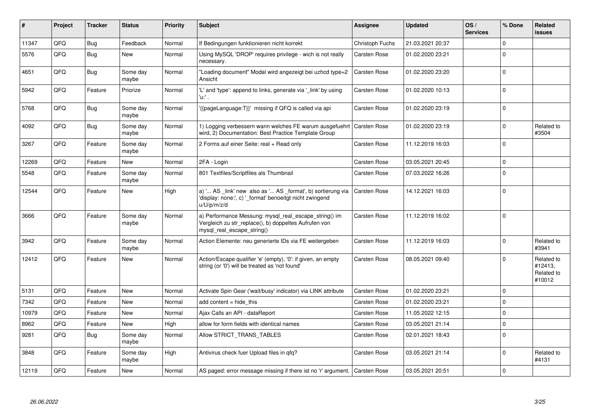| ∦     | Project | <b>Tracker</b> | <b>Status</b>     | <b>Priority</b> | <b>Subject</b>                                                                                                                               | <b>Assignee</b>     | <b>Updated</b>   | OS/<br><b>Services</b> | % Done      | Related<br><b>issues</b>                      |
|-------|---------|----------------|-------------------|-----------------|----------------------------------------------------------------------------------------------------------------------------------------------|---------------------|------------------|------------------------|-------------|-----------------------------------------------|
| 11347 | QFQ     | Bug            | Feedback          | Normal          | If Bedingungen funktionieren nicht korrekt                                                                                                   | Christoph Fuchs     | 21.03.2021 20:37 |                        | $\Omega$    |                                               |
| 5576  | QFQ     | <b>Bug</b>     | New               | Normal          | Using MySQL 'DROP' requires privilege - wich is not really<br>necessary.                                                                     | Carsten Rose        | 01.02.2020 23:21 |                        | $\Omega$    |                                               |
| 4651  | QFQ     | <b>Bug</b>     | Some day<br>maybe | Normal          | 'Loading document" Modal wird angezeigt bei uzhcd type=2<br>Ansicht                                                                          | <b>Carsten Rose</b> | 01.02.2020 23:20 |                        | $\Omega$    |                                               |
| 5942  | QFQ     | Feature        | Priorize          | Normal          | 'L' and 'type': append to links, generate via 'link' by using<br>'u:' .                                                                      | <b>Carsten Rose</b> | 01.02.2020 10:13 |                        | $\mathbf 0$ |                                               |
| 5768  | QFQ     | Bug            | Some day<br>maybe | Normal          | {{pageLanguage:T}}' missing if QFQ is called via api                                                                                         | <b>Carsten Rose</b> | 01.02.2020 23:19 |                        | $\mathbf 0$ |                                               |
| 4092  | QFQ     | Bug            | Some day<br>maybe | Normal          | 1) Logging verbessern wann welches FE warum ausgefuehrt<br>wird, 2) Documentation: Best Practice Template Group                              | <b>Carsten Rose</b> | 01.02.2020 23:19 |                        | $\Omega$    | Related to<br>#3504                           |
| 3267  | OFO     | Feature        | Some day<br>maybe | Normal          | 2 Forms auf einer Seite: real + Read only                                                                                                    | Carsten Rose        | 11.12.2019 16:03 |                        | $\Omega$    |                                               |
| 12269 | QFQ     | Feature        | <b>New</b>        | Normal          | 2FA - Login                                                                                                                                  | <b>Carsten Rose</b> | 03.05.2021 20:45 |                        | $\mathbf 0$ |                                               |
| 5548  | QFQ     | Feature        | Some day<br>maybe | Normal          | 801 Textfiles/Scriptfiles als Thumbnail                                                                                                      | <b>Carsten Rose</b> | 07.03.2022 16:26 |                        | $\mathbf 0$ |                                               |
| 12544 | QFQ     | Feature        | <b>New</b>        | High            | a) ' AS _link' new also as ' AS _format', b) sortierung via<br>'display: none;', c) '_format' benoeitgt nicht zwingend<br>u/U/p/m/z/d        | <b>Carsten Rose</b> | 14.12.2021 16:03 |                        | $\mathbf 0$ |                                               |
| 3666  | QFQ     | Feature        | Some day<br>maybe | Normal          | a) Performance Messung: mysql_real_escape_string() im<br>Vergleich zu str_replace(), b) doppeltes Aufrufen von<br>mysql_real_escape_string() | <b>Carsten Rose</b> | 11.12.2019 16:02 |                        | $\Omega$    |                                               |
| 3942  | QFQ     | Feature        | Some day<br>maybe | Normal          | Action Elemente: neu generierte IDs via FE weitergeben                                                                                       | <b>Carsten Rose</b> | 11.12.2019 16:03 |                        | $\mathbf 0$ | Related to<br>#3941                           |
| 12412 | QFQ     | Feature        | New               | Normal          | Action/Escape qualifier 'e' (empty), '0': if given, an empty<br>string (or '0') will be treated as 'not found'                               | <b>Carsten Rose</b> | 08.05.2021 09:40 |                        | $\Omega$    | Related to<br>#12413,<br>Related to<br>#10012 |
| 5131  | QFQ     | Feature        | <b>New</b>        | Normal          | Activate Spin Gear ('wait/busy' indicator) via LINK attribute                                                                                | <b>Carsten Rose</b> | 01.02.2020 23:21 |                        | $\Omega$    |                                               |
| 7342  | QFQ     | Feature        | <b>New</b>        | Normal          | add content $=$ hide this                                                                                                                    | <b>Carsten Rose</b> | 01.02.2020 23:21 |                        | $\mathbf 0$ |                                               |
| 10979 | QFQ     | Feature        | <b>New</b>        | Normal          | Ajax Calls an API - dataReport                                                                                                               | <b>Carsten Rose</b> | 11.05.2022 12:15 |                        | $\mathbf 0$ |                                               |
| 8962  | QFQ     | Feature        | <b>New</b>        | High            | allow for form fields with identical names                                                                                                   | <b>Carsten Rose</b> | 03.05.2021 21:14 |                        | $\mathbf 0$ |                                               |
| 9281  | QFQ     | <b>Bug</b>     | Some day<br>maybe | Normal          | Allow STRICT_TRANS_TABLES                                                                                                                    | <b>Carsten Rose</b> | 02.01.2021 18:43 |                        | $\Omega$    |                                               |
| 3848  | QFQ     | Feature        | Some day<br>maybe | High            | Antivirus check fuer Upload files in qfq?                                                                                                    | <b>Carsten Rose</b> | 03.05.2021 21:14 |                        | $\Omega$    | Related to<br>#4131                           |
| 12119 | QFQ     | Feature        | <b>New</b>        | Normal          | AS paged: error message missing if there ist no 'r' argument. Carsten Rose                                                                   |                     | 03.05.2021 20:51 |                        | $\mathbf 0$ |                                               |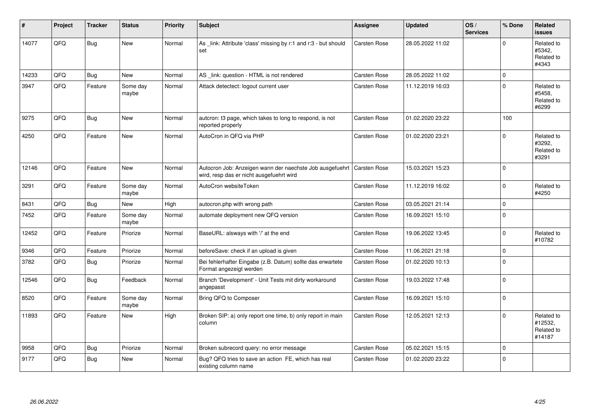| #     | Project | <b>Tracker</b> | <b>Status</b>     | <b>Priority</b> | <b>Subject</b>                                                                                       | Assignee            | <b>Updated</b>   | OS/<br><b>Services</b> | % Done      | Related<br><b>issues</b>                      |
|-------|---------|----------------|-------------------|-----------------|------------------------------------------------------------------------------------------------------|---------------------|------------------|------------------------|-------------|-----------------------------------------------|
| 14077 | QFQ     | Bug            | <b>New</b>        | Normal          | As _link: Attribute 'class' missing by r:1 and r:3 - but should<br>set                               | Carsten Rose        | 28.05.2022 11:02 |                        | $\Omega$    | Related to<br>#5342.<br>Related to<br>#4343   |
| 14233 | QFQ     | Bug            | <b>New</b>        | Normal          | AS _link: question - HTML is not rendered                                                            | Carsten Rose        | 28.05.2022 11:02 |                        | $\mathbf 0$ |                                               |
| 3947  | QFQ     | Feature        | Some day<br>maybe | Normal          | Attack detectect: logout current user                                                                | Carsten Rose        | 11.12.2019 16:03 |                        | $\Omega$    | Related to<br>#5458.<br>Related to<br>#6299   |
| 9275  | QFQ     | Bug            | <b>New</b>        | Normal          | autcron: t3 page, which takes to long to respond, is not<br>reported properly                        | Carsten Rose        | 01.02.2020 23:22 |                        | 100         |                                               |
| 4250  | QFQ     | Feature        | <b>New</b>        | Normal          | AutoCron in QFQ via PHP                                                                              | Carsten Rose        | 01.02.2020 23:21 |                        | $\Omega$    | Related to<br>#3292,<br>Related to<br>#3291   |
| 12146 | QFQ     | Feature        | <b>New</b>        | Normal          | Autocron Job: Anzeigen wann der naechste Job ausgefuehrt<br>wird, resp das er nicht ausgefuehrt wird | Carsten Rose        | 15.03.2021 15:23 |                        | $\Omega$    |                                               |
| 3291  | QFQ     | Feature        | Some day<br>maybe | Normal          | AutoCron websiteToken                                                                                | Carsten Rose        | 11.12.2019 16:02 |                        | $\mathbf 0$ | Related to<br>#4250                           |
| 8431  | QFQ     | Bug            | <b>New</b>        | High            | autocron.php with wrong path                                                                         | <b>Carsten Rose</b> | 03.05.2021 21:14 |                        | $\Omega$    |                                               |
| 7452  | QFQ     | Feature        | Some day<br>maybe | Normal          | automate deployment new QFQ version                                                                  | Carsten Rose        | 16.09.2021 15:10 |                        | $\mathbf 0$ |                                               |
| 12452 | QFQ     | Feature        | Priorize          | Normal          | BaseURL: alsways with '/' at the end                                                                 | Carsten Rose        | 19.06.2022 13:45 |                        | $\Omega$    | Related to<br>#10782                          |
| 9346  | QFQ     | Feature        | Priorize          | Normal          | beforeSave: check if an upload is given                                                              | Carsten Rose        | 11.06.2021 21:18 |                        | $\mathbf 0$ |                                               |
| 3782  | QFQ     | <b>Bug</b>     | Priorize          | Normal          | Bei fehlerhafter Eingabe (z.B. Datum) sollte das erwartete<br>Format angezeigt werden                | Carsten Rose        | 01.02.2020 10:13 |                        | $\pmb{0}$   |                                               |
| 12546 | QFQ     | Bug            | Feedback          | Normal          | Branch 'Development' - Unit Tests mit dirty workaround<br>angepasst                                  | Carsten Rose        | 19.03.2022 17:48 |                        | $\mathbf 0$ |                                               |
| 8520  | QFQ     | Feature        | Some day<br>maybe | Normal          | Bring QFQ to Composer                                                                                | Carsten Rose        | 16.09.2021 15:10 |                        | $\Omega$    |                                               |
| 11893 | QFQ     | Feature        | <b>New</b>        | High            | Broken SIP: a) only report one time, b) only report in main<br>column                                | Carsten Rose        | 12.05.2021 12:13 |                        | $\mathbf 0$ | Related to<br>#12532,<br>Related to<br>#14187 |
| 9958  | QFQ     | Bug            | Priorize          | Normal          | Broken subrecord query: no error message                                                             | <b>Carsten Rose</b> | 05.02.2021 15:15 |                        | $\mathbf 0$ |                                               |
| 9177  | QFQ     | <b>Bug</b>     | <b>New</b>        | Normal          | Bug? QFQ tries to save an action FE, which has real<br>existing column name                          | Carsten Rose        | 01.02.2020 23:22 |                        | $\mathbf 0$ |                                               |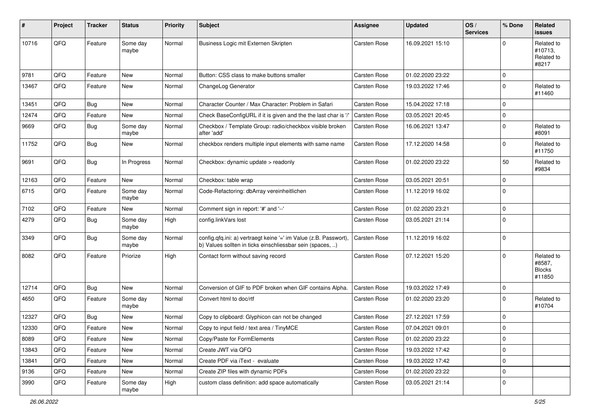| ∦     | Project | <b>Tracker</b> | <b>Status</b>     | <b>Priority</b> | Subject                                                                                                                       | Assignee     | <b>Updated</b>   | OS/<br><b>Services</b> | % Done      | Related<br><b>issues</b>                        |
|-------|---------|----------------|-------------------|-----------------|-------------------------------------------------------------------------------------------------------------------------------|--------------|------------------|------------------------|-------------|-------------------------------------------------|
| 10716 | QFQ     | Feature        | Some day<br>maybe | Normal          | Business Logic mit Externen Skripten                                                                                          | Carsten Rose | 16.09.2021 15:10 |                        | $\Omega$    | Related to<br>#10713.<br>Related to<br>#8217    |
| 9781  | QFQ     | Feature        | <b>New</b>        | Normal          | Button: CSS class to make buttons smaller                                                                                     | Carsten Rose | 01.02.2020 23:22 |                        | $\mathbf 0$ |                                                 |
| 13467 | QFQ     | Feature        | New               | Normal          | ChangeLog Generator                                                                                                           | Carsten Rose | 19.03.2022 17:46 |                        | $\mathbf 0$ | Related to<br>#11460                            |
| 13451 | QFQ     | Bug            | New               | Normal          | Character Counter / Max Character: Problem in Safari                                                                          | Carsten Rose | 15.04.2022 17:18 |                        | $\mathbf 0$ |                                                 |
| 12474 | QFQ     | Feature        | <b>New</b>        | Normal          | Check BaseConfigURL if it is given and the the last char is '/'                                                               | Carsten Rose | 03.05.2021 20:45 |                        | $\mathbf 0$ |                                                 |
| 9669  | QFQ     | Bug            | Some day<br>maybe | Normal          | Checkbox / Template Group: radio/checkbox visible broken<br>after 'add'                                                       | Carsten Rose | 16.06.2021 13:47 |                        | 0           | Related to<br>#8091                             |
| 11752 | QFQ     | Bug            | New               | Normal          | checkbox renders multiple input elements with same name                                                                       | Carsten Rose | 17.12.2020 14:58 |                        | $\mathbf 0$ | Related to<br>#11750                            |
| 9691  | QFQ     | Bug            | In Progress       | Normal          | Checkbox: dynamic update > readonly                                                                                           | Carsten Rose | 01.02.2020 23:22 |                        | 50          | Related to<br>#9834                             |
| 12163 | QFQ     | Feature        | <b>New</b>        | Normal          | Checkbox: table wrap                                                                                                          | Carsten Rose | 03.05.2021 20:51 |                        | $\mathbf 0$ |                                                 |
| 6715  | QFQ     | Feature        | Some day<br>maybe | Normal          | Code-Refactoring: dbArray vereinheitlichen                                                                                    | Carsten Rose | 11.12.2019 16:02 |                        | $\mathbf 0$ |                                                 |
| 7102  | QFQ     | Feature        | New               | Normal          | Comment sign in report: '#' and '--'                                                                                          | Carsten Rose | 01.02.2020 23:21 |                        | $\mathbf 0$ |                                                 |
| 4279  | QFQ     | Bug            | Some day<br>maybe | High            | config.linkVars lost                                                                                                          | Carsten Rose | 03.05.2021 21:14 |                        | $\mathbf 0$ |                                                 |
| 3349  | QFQ     | <b>Bug</b>     | Some day<br>maybe | Normal          | config.qfq.ini: a) vertraegt keine '=' im Value (z.B. Passwort),<br>b) Values sollten in ticks einschliessbar sein (spaces, ) | Carsten Rose | 11.12.2019 16:02 |                        | $\mathbf 0$ |                                                 |
| 8082  | QFQ     | Feature        | Priorize          | High            | Contact form without saving record                                                                                            | Carsten Rose | 07.12.2021 15:20 |                        | $\Omega$    | Related to<br>#8587,<br><b>Blocks</b><br>#11850 |
| 12714 | QFQ     | Bug            | New               | Normal          | Conversion of GIF to PDF broken when GIF contains Alpha.                                                                      | Carsten Rose | 19.03.2022 17:49 |                        | 0           |                                                 |
| 4650  | QFQ     | Feature        | Some day<br>maybe | Normal          | Convert html to doc/rtf                                                                                                       | Carsten Rose | 01.02.2020 23:20 |                        | $\Omega$    | Related to<br>#10704                            |
| 12327 | QFQ     | Bug            | <b>New</b>        | Normal          | Copy to clipboard: Glyphicon can not be changed                                                                               | Carsten Rose | 27.12.2021 17:59 |                        | $\mathbf 0$ |                                                 |
| 12330 | QFQ     | Feature        | New               | Normal          | Copy to input field / text area / TinyMCE                                                                                     | Carsten Rose | 07.04.2021 09:01 |                        | 0           |                                                 |
| 8089  | QFO     | Feature        | New               | Normal          | Copy/Paste for FormElements                                                                                                   | Carsten Rose | 01.02.2020 23:22 |                        | $\mathbf 0$ |                                                 |
| 13843 | QFQ     | Feature        | New               | Normal          | Create JWT via QFQ                                                                                                            | Carsten Rose | 19.03.2022 17:42 |                        | $\mathbf 0$ |                                                 |
| 13841 | QFQ     | Feature        | New               | Normal          | Create PDF via iText - evaluate                                                                                               | Carsten Rose | 19.03.2022 17:42 |                        | 0           |                                                 |
| 9136  | QFQ     | Feature        | New               | Normal          | Create ZIP files with dynamic PDFs                                                                                            | Carsten Rose | 01.02.2020 23:22 |                        | 0           |                                                 |
| 3990  | QFQ     | Feature        | Some day<br>maybe | High            | custom class definition: add space automatically                                                                              | Carsten Rose | 03.05.2021 21:14 |                        | 0           |                                                 |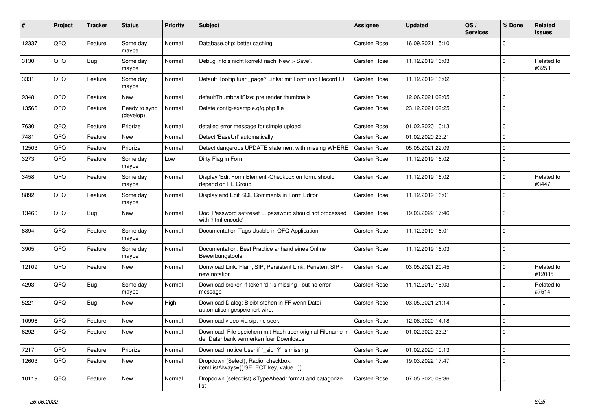| $\pmb{\#}$ | Project | <b>Tracker</b> | <b>Status</b>              | <b>Priority</b> | <b>Subject</b>                                                                                        | <b>Assignee</b>     | <b>Updated</b>   | OS/<br><b>Services</b> | % Done       | Related<br><b>issues</b> |
|------------|---------|----------------|----------------------------|-----------------|-------------------------------------------------------------------------------------------------------|---------------------|------------------|------------------------|--------------|--------------------------|
| 12337      | QFQ     | Feature        | Some day<br>maybe          | Normal          | Database.php: better caching                                                                          | <b>Carsten Rose</b> | 16.09.2021 15:10 |                        | $\Omega$     |                          |
| 3130       | QFQ     | <b>Bug</b>     | Some day<br>maybe          | Normal          | Debug Info's nicht korrekt nach 'New > Save'.                                                         | <b>Carsten Rose</b> | 11.12.2019 16:03 |                        | $\mathbf 0$  | Related to<br>#3253      |
| 3331       | QFQ     | Feature        | Some day<br>maybe          | Normal          | Default Tooltip fuer _page? Links: mit Form und Record ID                                             | <b>Carsten Rose</b> | 11.12.2019 16:02 |                        | $\Omega$     |                          |
| 9348       | QFQ     | Feature        | New                        | Normal          | defaultThumbnailSize: pre render thumbnails                                                           | <b>Carsten Rose</b> | 12.06.2021 09:05 |                        | $\mathbf 0$  |                          |
| 13566      | QFQ     | Feature        | Ready to sync<br>(develop) | Normal          | Delete config-example.qfq.php file                                                                    | <b>Carsten Rose</b> | 23.12.2021 09:25 |                        | $\Omega$     |                          |
| 7630       | QFQ     | Feature        | Priorize                   | Normal          | detailed error message for simple upload                                                              | <b>Carsten Rose</b> | 01.02.2020 10:13 |                        | $\mathbf{0}$ |                          |
| 7481       | QFQ     | Feature        | New                        | Normal          | Detect 'BaseUrl' automatically                                                                        | Carsten Rose        | 01.02.2020 23:21 |                        | $\mathbf 0$  |                          |
| 12503      | QFQ     | Feature        | Priorize                   | Normal          | Detect dangerous UPDATE statement with missing WHERE                                                  | <b>Carsten Rose</b> | 05.05.2021 22:09 |                        | $\Omega$     |                          |
| 3273       | QFQ     | Feature        | Some day<br>maybe          | Low             | Dirty Flag in Form                                                                                    | <b>Carsten Rose</b> | 11.12.2019 16:02 |                        | $\Omega$     |                          |
| 3458       | QFQ     | Feature        | Some day<br>maybe          | Normal          | Display 'Edit Form Element'-Checkbox on form: should<br>depend on FE Group                            | <b>Carsten Rose</b> | 11.12.2019 16:02 |                        | $\Omega$     | Related to<br>#3447      |
| 8892       | QFQ     | Feature        | Some day<br>maybe          | Normal          | Display and Edit SQL Comments in Form Editor                                                          | <b>Carsten Rose</b> | 11.12.2019 16:01 |                        | $\mathbf 0$  |                          |
| 13460      | QFQ     | Bug            | New                        | Normal          | Doc: Password set/reset  password should not processed<br>with 'html encode'                          | Carsten Rose        | 19.03.2022 17:46 |                        | $\Omega$     |                          |
| 8894       | QFQ     | Feature        | Some day<br>maybe          | Normal          | Documentation Tags Usable in QFQ Application                                                          | <b>Carsten Rose</b> | 11.12.2019 16:01 |                        | $\Omega$     |                          |
| 3905       | QFQ     | Feature        | Some day<br>maybe          | Normal          | Documentation: Best Practice anhand eines Online<br>Bewerbungstools                                   | Carsten Rose        | 11.12.2019 16:03 |                        | $\Omega$     |                          |
| 12109      | QFQ     | Feature        | <b>New</b>                 | Normal          | Donwload Link: Plain, SIP, Persistent Link, Peristent SIP -<br>new notation                           | <b>Carsten Rose</b> | 03.05.2021 20:45 |                        | $\Omega$     | Related to<br>#12085     |
| 4293       | QFQ     | <b>Bug</b>     | Some day<br>maybe          | Normal          | Download broken if token 'd:' is missing - but no error<br>message                                    | <b>Carsten Rose</b> | 11.12.2019 16:03 |                        | $\Omega$     | Related to<br>#7514      |
| 5221       | QFQ     | <b>Bug</b>     | New                        | High            | Download Dialog: Bleibt stehen in FF wenn Datei<br>automatisch gespeichert wird.                      | <b>Carsten Rose</b> | 03.05.2021 21:14 |                        | $\mathbf 0$  |                          |
| 10996      | QFQ     | Feature        | <b>New</b>                 | Normal          | Download video via sip: no seek                                                                       | <b>Carsten Rose</b> | 12.08.2020 14:18 |                        | $\Omega$     |                          |
| 6292       | QFQ     | Feature        | New                        | Normal          | Download: File speichern mit Hash aber original Filename in<br>der Datenbank vermerken fuer Downloads | <b>Carsten Rose</b> | 01.02.2020 23:21 |                        | ١o           |                          |
| 7217       | QFQ     | Feature        | Priorize                   | Normal          | Download: notice User if `_sip=?` is missing                                                          | Carsten Rose        | 01.02.2020 10:13 |                        | $\Omega$     |                          |
| 12603      | QFQ     | Feature        | New                        | Normal          | Dropdown (Select), Radio, checkbox:<br>itemListAlways={{!SELECT key, value}}                          | Carsten Rose        | 19.03.2022 17:47 |                        | $\mathbf 0$  |                          |
| 10119      | QFQ     | Feature        | New                        | Normal          | Dropdown (selectlist) & TypeAhead: format and catagorize<br>list                                      | Carsten Rose        | 07.05.2020 09:36 |                        | $\mathbf 0$  |                          |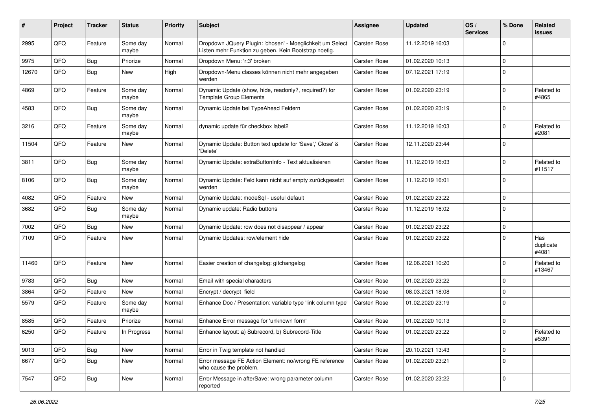| ∦     | Project | <b>Tracker</b> | <b>Status</b>     | <b>Priority</b> | <b>Subject</b>                                                                                                     | <b>Assignee</b>     | <b>Updated</b>   | OS/<br><b>Services</b> | % Done      | Related<br><b>issues</b>  |
|-------|---------|----------------|-------------------|-----------------|--------------------------------------------------------------------------------------------------------------------|---------------------|------------------|------------------------|-------------|---------------------------|
| 2995  | QFQ     | Feature        | Some day<br>maybe | Normal          | Dropdown JQuery Plugin: 'chosen' - Moeglichkeit um Select<br>Listen mehr Funktion zu geben. Kein Bootstrap noetig. | <b>Carsten Rose</b> | 11.12.2019 16:03 |                        | $\Omega$    |                           |
| 9975  | QFQ     | <b>Bug</b>     | Priorize          | Normal          | Dropdown Menu: 'r:3' broken                                                                                        | Carsten Rose        | 01.02.2020 10:13 |                        | $\Omega$    |                           |
| 12670 | QFQ     | <b>Bug</b>     | New               | High            | Dropdown-Menu classes können nicht mehr angegeben<br>werden                                                        | Carsten Rose        | 07.12.2021 17:19 |                        | $\Omega$    |                           |
| 4869  | QFQ     | Feature        | Some day<br>maybe | Normal          | Dynamic Update (show, hide, readonly?, required?) for<br><b>Template Group Elements</b>                            | Carsten Rose        | 01.02.2020 23:19 |                        | $\mathbf 0$ | Related to<br>#4865       |
| 4583  | QFQ     | <b>Bug</b>     | Some day<br>maybe | Normal          | Dynamic Update bei TypeAhead Feldern                                                                               | <b>Carsten Rose</b> | 01.02.2020 23:19 |                        | $\Omega$    |                           |
| 3216  | QFQ     | Feature        | Some day<br>maybe | Normal          | dynamic update für checkbox label2                                                                                 | Carsten Rose        | 11.12.2019 16:03 |                        | $\mathbf 0$ | Related to<br>#2081       |
| 11504 | QFQ     | Feature        | New               | Normal          | Dynamic Update: Button text update for 'Save',' Close' &<br>'Delete'                                               | Carsten Rose        | 12.11.2020 23:44 |                        | $\Omega$    |                           |
| 3811  | QFQ     | Bug            | Some day<br>maybe | Normal          | Dynamic Update: extraButtonInfo - Text aktualisieren                                                               | <b>Carsten Rose</b> | 11.12.2019 16:03 |                        | $\mathbf 0$ | Related to<br>#11517      |
| 8106  | QFQ     | <b>Bug</b>     | Some day<br>maybe | Normal          | Dynamic Update: Feld kann nicht auf empty zurückgesetzt<br>werden                                                  | Carsten Rose        | 11.12.2019 16:01 |                        | $\mathbf 0$ |                           |
| 4082  | QFQ     | Feature        | New               | Normal          | Dynamic Update: modeSql - useful default                                                                           | Carsten Rose        | 01.02.2020 23:22 |                        | $\mathbf 0$ |                           |
| 3682  | QFQ     | Bug            | Some day<br>maybe | Normal          | Dynamic update: Radio buttons                                                                                      | <b>Carsten Rose</b> | 11.12.2019 16:02 |                        | $\Omega$    |                           |
| 7002  | QFQ     | Bug            | New               | Normal          | Dynamic Update: row does not disappear / appear                                                                    | <b>Carsten Rose</b> | 01.02.2020 23:22 |                        | 0           |                           |
| 7109  | QFQ     | Feature        | New               | Normal          | Dynamic Updates: row/element hide                                                                                  | Carsten Rose        | 01.02.2020 23:22 |                        | $\Omega$    | Has<br>duplicate<br>#4081 |
| 11460 | QFQ     | Feature        | New               | Normal          | Easier creation of changelog: gitchangelog                                                                         | Carsten Rose        | 12.06.2021 10:20 |                        | $\mathbf 0$ | Related to<br>#13467      |
| 9783  | QFQ     | <b>Bug</b>     | New               | Normal          | Email with special characters                                                                                      | Carsten Rose        | 01.02.2020 23:22 |                        | $\mathbf 0$ |                           |
| 3864  | QFQ     | Feature        | New               | Normal          | Encrypt / decrypt field                                                                                            | <b>Carsten Rose</b> | 08.03.2021 18:08 |                        | $\mathbf 0$ |                           |
| 5579  | QFQ     | Feature        | Some day<br>maybe | Normal          | Enhance Doc / Presentation: variable type 'link column type'                                                       | Carsten Rose        | 01.02.2020 23:19 |                        | $\Omega$    |                           |
| 8585  | QFQ     | Feature        | Priorize          | Normal          | Enhance Error message for 'unknown form'                                                                           | <b>Carsten Rose</b> | 01.02.2020 10:13 |                        | 0           |                           |
| 6250  | QFQ     | Feature        | In Progress       | Normal          | Enhance layout: a) Subrecord, b) Subrecord-Title                                                                   | Carsten Rose        | 01.02.2020 23:22 |                        | $\mathbf 0$ | Related to<br>#5391       |
| 9013  | QFQ     | <b>Bug</b>     | New               | Normal          | Error in Twig template not handled                                                                                 | Carsten Rose        | 20.10.2021 13:43 |                        | $\mathbf 0$ |                           |
| 6677  | QFQ     | <b>Bug</b>     | New               | Normal          | Error message FE Action Element: no/wrong FE reference<br>who cause the problem.                                   | Carsten Rose        | 01.02.2020 23:21 |                        | $\pmb{0}$   |                           |
| 7547  | QFG     | <b>Bug</b>     | New               | Normal          | Error Message in afterSave: wrong parameter column<br>reported                                                     | Carsten Rose        | 01.02.2020 23:22 |                        | $\mathbf 0$ |                           |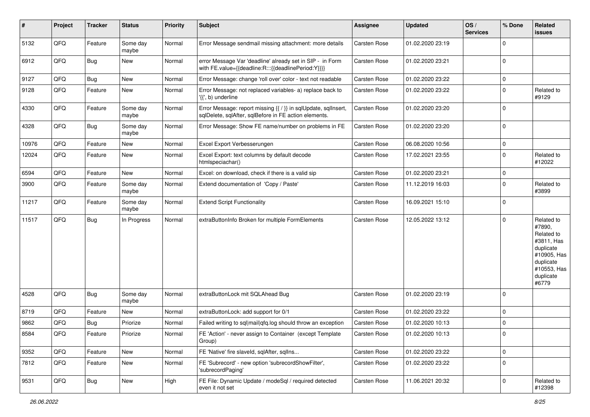| ∦     | Project        | <b>Tracker</b> | <b>Status</b>     | <b>Priority</b> | <b>Subject</b>                                                                                                          | Assignee            | <b>Updated</b>   | OS/<br><b>Services</b> | % Done      | Related<br><b>issues</b>                                                                                                       |
|-------|----------------|----------------|-------------------|-----------------|-------------------------------------------------------------------------------------------------------------------------|---------------------|------------------|------------------------|-------------|--------------------------------------------------------------------------------------------------------------------------------|
| 5132  | QFQ            | Feature        | Some day<br>maybe | Normal          | Error Message sendmail missing attachment: more details                                                                 | <b>Carsten Rose</b> | 01.02.2020 23:19 |                        | $\mathbf 0$ |                                                                                                                                |
| 6912  | QFQ            | Bug            | New               | Normal          | error Message Var 'deadline' already set in SIP - in Form<br>with FE.value={{deadline:R:::{{deadlinePeriod:Y}}}}        | <b>Carsten Rose</b> | 01.02.2020 23:21 |                        | $\mathbf 0$ |                                                                                                                                |
| 9127  | QFQ            | <b>Bug</b>     | New               | Normal          | Error Message: change 'roll over' color - text not readable                                                             | <b>Carsten Rose</b> | 01.02.2020 23:22 |                        | $\mathbf 0$ |                                                                                                                                |
| 9128  | QFQ            | Feature        | New               | Normal          | Error Message: not replaced variables- a) replace back to<br>'{{', b) underline                                         | Carsten Rose        | 01.02.2020 23:22 |                        | $\mathbf 0$ | Related to<br>#9129                                                                                                            |
| 4330  | QFQ            | Feature        | Some day<br>maybe | Normal          | Error Message: report missing {{ / }} in sqlUpdate, sqlInsert,<br>sqlDelete, sqlAfter, sqlBefore in FE action elements. | Carsten Rose        | 01.02.2020 23:20 |                        | $\mathbf 0$ |                                                                                                                                |
| 4328  | QFQ            | <b>Bug</b>     | Some day<br>maybe | Normal          | Error Message: Show FE name/number on problems in FE                                                                    | <b>Carsten Rose</b> | 01.02.2020 23:20 |                        | $\mathbf 0$ |                                                                                                                                |
| 10976 | QFQ            | Feature        | <b>New</b>        | Normal          | Excel Export Verbesserungen                                                                                             | Carsten Rose        | 06.08.2020 10:56 |                        | $\mathbf 0$ |                                                                                                                                |
| 12024 | QFQ            | Feature        | New               | Normal          | Excel Export: text columns by default decode<br>htmlspeciachar()                                                        | Carsten Rose        | 17.02.2021 23:55 |                        | $\mathbf 0$ | Related to<br>#12022                                                                                                           |
| 6594  | QFQ            | Feature        | <b>New</b>        | Normal          | Excel: on download, check if there is a valid sip                                                                       | <b>Carsten Rose</b> | 01.02.2020 23:21 |                        | $\mathbf 0$ |                                                                                                                                |
| 3900  | QFQ            | Feature        | Some day<br>maybe | Normal          | Extend documentation of 'Copy / Paste'                                                                                  | <b>Carsten Rose</b> | 11.12.2019 16:03 |                        | $\mathbf 0$ | Related to<br>#3899                                                                                                            |
| 11217 | QFQ            | Feature        | Some day<br>maybe | Normal          | <b>Extend Script Functionality</b>                                                                                      | <b>Carsten Rose</b> | 16.09.2021 15:10 |                        | $\mathbf 0$ |                                                                                                                                |
| 11517 | QFQ            | Bug            | In Progress       | Normal          | extraButtonInfo Broken for multiple FormElements                                                                        | <b>Carsten Rose</b> | 12.05.2022 13:12 |                        | $\mathbf 0$ | Related to<br>#7890,<br>Related to<br>#3811, Has<br>duplicate<br>#10905, Has<br>duplicate<br>#10553, Has<br>duplicate<br>#6779 |
| 4528  | QFQ            | <b>Bug</b>     | Some day<br>maybe | Normal          | extraButtonLock mit SQLAhead Bug                                                                                        | <b>Carsten Rose</b> | 01.02.2020 23:19 |                        | $\mathbf 0$ |                                                                                                                                |
| 8719  | QFQ            | Feature        | <b>New</b>        | Normal          | extraButtonLock: add support for 0/1                                                                                    | <b>Carsten Rose</b> | 01.02.2020 23:22 |                        | $\mathbf 0$ |                                                                                                                                |
| 9862  | QFQ            | <b>Bug</b>     | Priorize          | Normal          | Failed writing to sql mail qfq.log should throw an exception                                                            | Carsten Rose        | 01.02.2020 10:13 |                        | $\mathbf 0$ |                                                                                                                                |
| 8584  | $\mathsf{QFQ}$ | Feature        | Priorize          | Normal          | FE 'Action' - never assign to Container (except Template<br>Group)                                                      | Carsten Rose        | 01.02.2020 10:13 |                        | $\mathbf 0$ |                                                                                                                                |
| 9352  | QFQ            | Feature        | New               | Normal          | FE 'Native' fire slaveld, sqlAfter, sqlIns                                                                              | Carsten Rose        | 01.02.2020 23:22 |                        | $\mathbf 0$ |                                                                                                                                |
| 7812  | QFQ            | Feature        | New               | Normal          | FE 'Subrecord' - new option 'subrecordShowFilter',<br>'subrecordPaging'                                                 | Carsten Rose        | 01.02.2020 23:22 |                        | $\mathbf 0$ |                                                                                                                                |
| 9531  | QFO            | <b>Bug</b>     | New               | High            | FE File: Dynamic Update / modeSql / required detected<br>even it not set                                                | Carsten Rose        | 11.06.2021 20:32 |                        | $\mathbf 0$ | Related to<br>#12398                                                                                                           |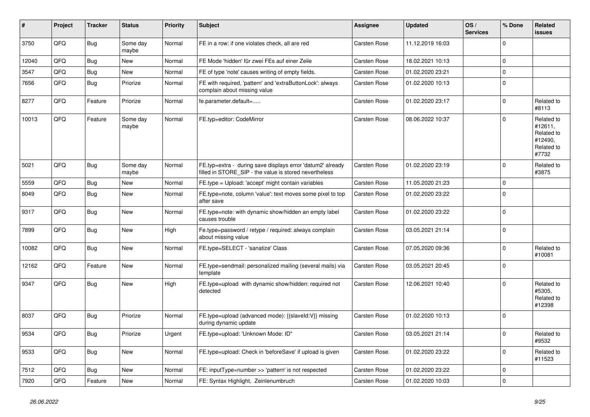| #     | Project | <b>Tracker</b> | <b>Status</b>     | <b>Priority</b> | <b>Subject</b>                                                                                                       | Assignee            | <b>Updated</b>   | OS/<br><b>Services</b> | % Done         | <b>Related</b><br><b>issues</b>                                       |
|-------|---------|----------------|-------------------|-----------------|----------------------------------------------------------------------------------------------------------------------|---------------------|------------------|------------------------|----------------|-----------------------------------------------------------------------|
| 3750  | QFQ     | <b>Bug</b>     | Some day<br>maybe | Normal          | FE in a row: if one violates check, all are red                                                                      | Carsten Rose        | 11.12.2019 16:03 |                        | $\mathbf 0$    |                                                                       |
| 12040 | QFQ     | <b>Bug</b>     | <b>New</b>        | Normal          | FE Mode 'hidden' für zwei FEs auf einer Zeile                                                                        | Carsten Rose        | 18.02.2021 10:13 |                        | 0              |                                                                       |
| 3547  | QFQ     | <b>Bug</b>     | <b>New</b>        | Normal          | FE of type 'note' causes writing of empty fields.                                                                    | Carsten Rose        | 01.02.2020 23:21 |                        | $\pmb{0}$      |                                                                       |
| 7656  | QFQ     | Bug            | Priorize          | Normal          | FE with required, 'pattern' and 'extraButtonLock': always<br>complain about missing value                            | <b>Carsten Rose</b> | 01.02.2020 10:13 |                        | $\Omega$       |                                                                       |
| 8277  | QFQ     | Feature        | Priorize          | Normal          | fe.parameter.default=                                                                                                | Carsten Rose        | 01.02.2020 23:17 |                        | $\mathbf 0$    | Related to<br>#8113                                                   |
| 10013 | QFQ     | Feature        | Some day<br>maybe | Normal          | FE.typ=editor: CodeMirror                                                                                            | Carsten Rose        | 08.06.2022 10:37 |                        | $\mathbf 0$    | Related to<br>#12611.<br>Related to<br>#12490.<br>Related to<br>#7732 |
| 5021  | QFQ     | <b>Bug</b>     | Some day<br>maybe | Normal          | FE.typ=extra - during save displays error 'datum2' already<br>filled in STORE_SIP - the value is stored nevertheless | <b>Carsten Rose</b> | 01.02.2020 23:19 |                        | $\mathbf 0$    | Related to<br>#3875                                                   |
| 5559  | QFQ     | Bug            | <b>New</b>        | Normal          | FE.type = Upload: 'accept' might contain variables                                                                   | Carsten Rose        | 11.05.2020 21:23 |                        | $\mathsf 0$    |                                                                       |
| 8049  | QFQ     | Bug            | <b>New</b>        | Normal          | FE.type=note, column 'value': text moves some pixel to top<br>after save                                             | Carsten Rose        | 01.02.2020 23:22 |                        | $\mathbf 0$    |                                                                       |
| 9317  | QFQ     | <b>Bug</b>     | <b>New</b>        | Normal          | FE.type=note: with dynamic show/hidden an empty label<br>causes trouble                                              | Carsten Rose        | 01.02.2020 23:22 |                        | $\mathbf 0$    |                                                                       |
| 7899  | QFQ     | Bug            | <b>New</b>        | High            | Fe.type=password / retype / required: always complain<br>about missing value                                         | Carsten Rose        | 03.05.2021 21:14 |                        | 0              |                                                                       |
| 10082 | QFQ     | Bug            | <b>New</b>        | Normal          | FE.type=SELECT - 'sanatize' Class                                                                                    | Carsten Rose        | 07.05.2020 09:36 |                        | $\mathbf 0$    | Related to<br>#10081                                                  |
| 12162 | QFQ     | Feature        | <b>New</b>        | Normal          | FE.type=sendmail: personalized mailing (several mails) via<br>template                                               | Carsten Rose        | 03.05.2021 20:45 |                        | $\Omega$       |                                                                       |
| 9347  | QFQ     | <b>Bug</b>     | <b>New</b>        | High            | FE.type=upload with dynamic show/hidden: required not<br>detected                                                    | Carsten Rose        | 12.06.2021 10:40 |                        | $\overline{0}$ | Related to<br>#5305.<br>Related to<br>#12398                          |
| 8037  | QFQ     | Bug            | Priorize          | Normal          | FE.type=upload (advanced mode): {{slaveld:V}} missing<br>during dynamic update                                       | Carsten Rose        | 01.02.2020 10:13 |                        | $\mathbf 0$    |                                                                       |
| 9534  | QFQ     | <b>Bug</b>     | Priorize          | Urgent          | FE.type=upload: 'Unknown Mode: ID"                                                                                   | Carsten Rose        | 03.05.2021 21:14 |                        | $\Omega$       | Related to<br>#9532                                                   |
| 9533  | QFQ     | Bug            | <b>New</b>        | Normal          | FE.type=upload: Check in 'beforeSave' if upload is given                                                             | Carsten Rose        | 01.02.2020 23:22 |                        | $\mathbf 0$    | Related to<br>#11523                                                  |
| 7512  | QFQ     | Bug            | <b>New</b>        | Normal          | FE: inputType=number >> 'pattern' is not respected                                                                   | Carsten Rose        | 01.02.2020 23:22 |                        | $\mathbf 0$    |                                                                       |
| 7920  | QFQ     | Feature        | <b>New</b>        | Normal          | FE: Syntax Highlight, Zeinlenumbruch                                                                                 | <b>Carsten Rose</b> | 01.02.2020 10:03 |                        | $\pmb{0}$      |                                                                       |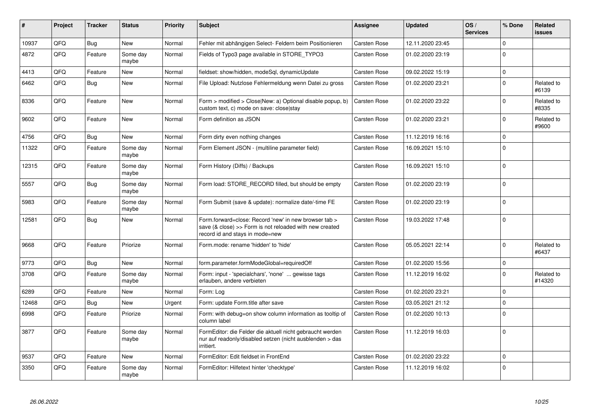| #     | Project | <b>Tracker</b> | <b>Status</b>     | <b>Priority</b> | <b>Subject</b>                                                                                                                                      | <b>Assignee</b>     | <b>Updated</b>   | OS/<br><b>Services</b> | % Done       | Related<br><b>issues</b> |
|-------|---------|----------------|-------------------|-----------------|-----------------------------------------------------------------------------------------------------------------------------------------------------|---------------------|------------------|------------------------|--------------|--------------------------|
| 10937 | QFQ     | <b>Bug</b>     | <b>New</b>        | Normal          | Fehler mit abhängigen Select- Feldern beim Positionieren                                                                                            | <b>Carsten Rose</b> | 12.11.2020 23:45 |                        | $\Omega$     |                          |
| 4872  | QFQ     | Feature        | Some day<br>maybe | Normal          | Fields of Typo3 page available in STORE TYPO3                                                                                                       | <b>Carsten Rose</b> | 01.02.2020 23:19 |                        | $\mathbf{0}$ |                          |
| 4413  | QFQ     | Feature        | <b>New</b>        | Normal          | fieldset: show/hidden, modeSql, dynamicUpdate                                                                                                       | <b>Carsten Rose</b> | 09.02.2022 15:19 |                        | $\mathbf 0$  |                          |
| 6462  | QFQ     | <b>Bug</b>     | New               | Normal          | File Upload: Nutzlose Fehlermeldung wenn Datei zu gross                                                                                             | Carsten Rose        | 01.02.2020 23:21 |                        | $\Omega$     | Related to<br>#6139      |
| 8336  | QFQ     | Feature        | <b>New</b>        | Normal          | Form > modified > Close New: a) Optional disable popup, b)<br>custom text, c) mode on save: close stay                                              | Carsten Rose        | 01.02.2020 23:22 |                        | $\Omega$     | Related to<br>#8335      |
| 9602  | QFQ     | Feature        | <b>New</b>        | Normal          | Form definition as JSON                                                                                                                             | <b>Carsten Rose</b> | 01.02.2020 23:21 |                        | $\Omega$     | Related to<br>#9600      |
| 4756  | QFQ     | <b>Bug</b>     | <b>New</b>        | Normal          | Form dirty even nothing changes                                                                                                                     | <b>Carsten Rose</b> | 11.12.2019 16:16 |                        | $\mathbf 0$  |                          |
| 11322 | QFQ     | Feature        | Some day<br>maybe | Normal          | Form Element JSON - (multiline parameter field)                                                                                                     | <b>Carsten Rose</b> | 16.09.2021 15:10 |                        | $\Omega$     |                          |
| 12315 | QFQ     | Feature        | Some day<br>maybe | Normal          | Form History (Diffs) / Backups                                                                                                                      | <b>Carsten Rose</b> | 16.09.2021 15:10 |                        | $\Omega$     |                          |
| 5557  | QFQ     | <b>Bug</b>     | Some day<br>maybe | Normal          | Form load: STORE_RECORD filled, but should be empty                                                                                                 | <b>Carsten Rose</b> | 01.02.2020 23:19 |                        | $\Omega$     |                          |
| 5983  | QFQ     | Feature        | Some day<br>maybe | Normal          | Form Submit (save & update): normalize date/-time FE                                                                                                | <b>Carsten Rose</b> | 01.02.2020 23:19 |                        | $\Omega$     |                          |
| 12581 | QFQ     | Bug            | <b>New</b>        | Normal          | Form.forward=close: Record 'new' in new browser tab ><br>save (& close) >> Form is not reloaded with new created<br>record id and stays in mode=new | <b>Carsten Rose</b> | 19.03.2022 17:48 |                        | $\mathbf 0$  |                          |
| 9668  | QFQ     | Feature        | Priorize          | Normal          | Form.mode: rename 'hidden' to 'hide'                                                                                                                | <b>Carsten Rose</b> | 05.05.2021 22:14 |                        | $\Omega$     | Related to<br>#6437      |
| 9773  | QFQ     | <b>Bug</b>     | <b>New</b>        | Normal          | form.parameter.formModeGlobal=requiredOff                                                                                                           | <b>Carsten Rose</b> | 01.02.2020 15:56 |                        | $\mathbf 0$  |                          |
| 3708  | QFQ     | Feature        | Some day<br>maybe | Normal          | Form: input - 'specialchars', 'none'  gewisse tags<br>erlauben, andere verbieten                                                                    | <b>Carsten Rose</b> | 11.12.2019 16:02 |                        | $\mathbf 0$  | Related to<br>#14320     |
| 6289  | QFQ     | Feature        | <b>New</b>        | Normal          | Form: Log                                                                                                                                           | <b>Carsten Rose</b> | 01.02.2020 23:21 |                        | $\mathbf 0$  |                          |
| 12468 | QFQ     | Bug            | New               | Urgent          | Form: update Form.title after save                                                                                                                  | <b>Carsten Rose</b> | 03.05.2021 21:12 |                        | $\mathbf 0$  |                          |
| 6998  | QFQ     | Feature        | Priorize          | Normal          | Form: with debug=on show column information as tooltip of<br>column label                                                                           | Carsten Rose        | 01.02.2020 10:13 |                        | $\Omega$     |                          |
| 3877  | QFQ     | Feature        | Some day<br>maybe | Normal          | FormEditor: die Felder die aktuell nicht gebraucht werden<br>nur auf readonly/disabled setzen (nicht ausblenden > das<br>irritiert.                 | Carsten Rose        | 11.12.2019 16:03 |                        | $\Omega$     |                          |
| 9537  | QFQ     | Feature        | <b>New</b>        | Normal          | FormEditor: Edit fieldset in FrontEnd                                                                                                               | <b>Carsten Rose</b> | 01.02.2020 23:22 |                        | $\mathbf 0$  |                          |
| 3350  | QFQ     | Feature        | Some day<br>maybe | Normal          | FormEditor: Hilfetext hinter 'checktype'                                                                                                            | Carsten Rose        | 11.12.2019 16:02 |                        | $\Omega$     |                          |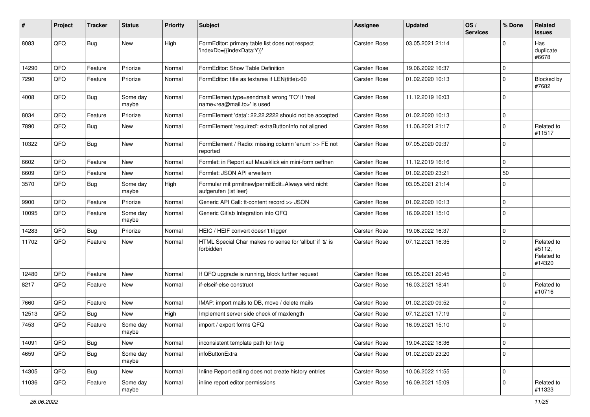| #     | Project | <b>Tracker</b> | <b>Status</b>     | <b>Priority</b> | <b>Subject</b>                                                                             | <b>Assignee</b>     | <b>Updated</b>   | OS/<br><b>Services</b> | % Done              | Related<br>issues                            |
|-------|---------|----------------|-------------------|-----------------|--------------------------------------------------------------------------------------------|---------------------|------------------|------------------------|---------------------|----------------------------------------------|
| 8083  | QFQ     | <b>Bug</b>     | <b>New</b>        | High            | FormEditor: primary table list does not respect<br>'indexDb={{indexData:Y}}'               | Carsten Rose        | 03.05.2021 21:14 |                        | $\Omega$            | Has<br>duplicate<br>#6678                    |
| 14290 | QFQ     | Feature        | Priorize          | Normal          | FormEditor: Show Table Definition                                                          | Carsten Rose        | 19.06.2022 16:37 |                        | $\mathbf 0$         |                                              |
| 7290  | QFQ     | Feature        | Priorize          | Normal          | FormEditor: title as textarea if LEN(title)>60                                             | <b>Carsten Rose</b> | 01.02.2020 10:13 |                        | $\mathbf 0$         | Blocked by<br>#7682                          |
| 4008  | QFQ     | Bug            | Some day<br>maybe | Normal          | FormElemen.type=sendmail: wrong 'TO' if 'real<br>name <rea@mail.to>' is used</rea@mail.to> | <b>Carsten Rose</b> | 11.12.2019 16:03 |                        | $\mathbf 0$         |                                              |
| 8034  | QFQ     | Feature        | Priorize          | Normal          | FormElement 'data': 22.22.2222 should not be accepted                                      | <b>Carsten Rose</b> | 01.02.2020 10:13 |                        | $\mathbf 0$         |                                              |
| 7890  | QFQ     | Bug            | New               | Normal          | FormElement 'required': extraButtonInfo not aligned                                        | Carsten Rose        | 11.06.2021 21:17 |                        | $\mathbf 0$         | Related to<br>#11517                         |
| 10322 | QFQ     | Bug            | New               | Normal          | FormElement / Radio: missing column 'enum' >> FE not<br>reported                           | <b>Carsten Rose</b> | 07.05.2020 09:37 |                        | $\mathbf 0$         |                                              |
| 6602  | QFQ     | Feature        | <b>New</b>        | Normal          | Formlet: in Report auf Mausklick ein mini-form oeffnen                                     | <b>Carsten Rose</b> | 11.12.2019 16:16 |                        | $\mathbf 0$         |                                              |
| 6609  | QFQ     | Feature        | New               | Normal          | Formlet: JSON API erweitern                                                                | <b>Carsten Rose</b> | 01.02.2020 23:21 |                        | 50                  |                                              |
| 3570  | QFQ     | <b>Bug</b>     | Some day<br>maybe | High            | Formular mit prmitnew permitEdit=Always wird nicht<br>aufgerufen (ist leer)                | <b>Carsten Rose</b> | 03.05.2021 21:14 |                        | $\mathbf 0$         |                                              |
| 9900  | QFQ     | Feature        | Priorize          | Normal          | Generic API Call: tt-content record >> JSON                                                | Carsten Rose        | 01.02.2020 10:13 |                        | $\mathbf 0$         |                                              |
| 10095 | QFQ     | Feature        | Some day<br>maybe | Normal          | Generic Gitlab Integration into QFQ                                                        | <b>Carsten Rose</b> | 16.09.2021 15:10 |                        | $\mathbf 0$         |                                              |
| 14283 | QFQ     | Bug            | Priorize          | Normal          | HEIC / HEIF convert doesn't trigger                                                        | <b>Carsten Rose</b> | 19.06.2022 16:37 |                        | $\mathbf 0$         |                                              |
| 11702 | QFQ     | Feature        | New               | Normal          | HTML Special Char makes no sense for 'allbut' if '&' is<br>forbidden                       | <b>Carsten Rose</b> | 07.12.2021 16:35 |                        | $\mathbf 0$         | Related to<br>#5112,<br>Related to<br>#14320 |
| 12480 | QFQ     | Feature        | <b>New</b>        | Normal          | If QFQ upgrade is running, block further request                                           | Carsten Rose        | 03.05.2021 20:45 |                        | $\mathbf 0$         |                                              |
| 8217  | QFQ     | Feature        | New               | Normal          | if-elseif-else construct                                                                   | Carsten Rose        | 16.03.2021 18:41 |                        | $\mathbf 0$         | Related to<br>#10716                         |
| 7660  | QFQ     | Feature        | New               | Normal          | IMAP: import mails to DB, move / delete mails                                              | <b>Carsten Rose</b> | 01.02.2020 09:52 |                        | $\mathbf 0$         |                                              |
| 12513 | QFQ     | Bug            | New               | High            | Implement server side check of maxlength                                                   | <b>Carsten Rose</b> | 07.12.2021 17:19 |                        | $\mathbf 0$         |                                              |
| 7453  | QFQ     | Feature        | Some day<br>maybe | Normal          | import / export forms QFQ                                                                  | <b>Carsten Rose</b> | 16.09.2021 15:10 |                        | $\mathbf 0$         |                                              |
| 14091 | QFQ     | Bug            | New               | Normal          | inconsistent template path for twig                                                        | Carsten Rose        | 19.04.2022 18:36 |                        | $\mathsf{O}\xspace$ |                                              |
| 4659  | QFQ     | <b>Bug</b>     | Some day<br>maybe | Normal          | infoButtonExtra                                                                            | Carsten Rose        | 01.02.2020 23:20 |                        | $\mathbf 0$         |                                              |
| 14305 | QFQ     | <b>Bug</b>     | New               | Normal          | Inline Report editing does not create history entries                                      | Carsten Rose        | 10.06.2022 11:55 |                        | $\mathsf 0$         |                                              |
| 11036 | QFQ     | Feature        | Some day<br>maybe | Normal          | inline report editor permissions                                                           | Carsten Rose        | 16.09.2021 15:09 |                        | $\mathbf 0$         | Related to<br>#11323                         |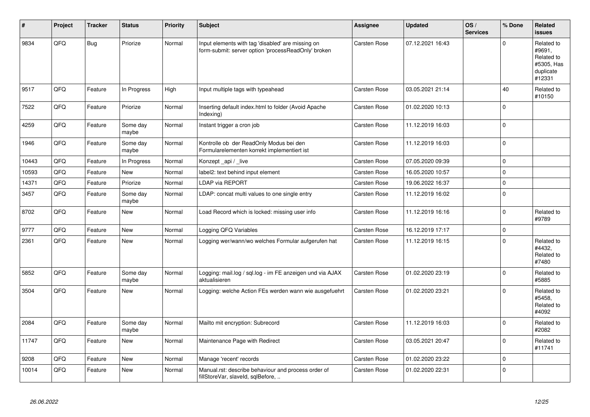| #     | Project | <b>Tracker</b> | <b>Status</b>     | <b>Priority</b> | <b>Subject</b>                                                                                           | Assignee            | <b>Updated</b>   | OS/<br><b>Services</b> | % Done      | Related<br><b>issues</b>                                                |
|-------|---------|----------------|-------------------|-----------------|----------------------------------------------------------------------------------------------------------|---------------------|------------------|------------------------|-------------|-------------------------------------------------------------------------|
| 9834  | QFQ     | <b>Bug</b>     | Priorize          | Normal          | Input elements with tag 'disabled' are missing on<br>form-submit: server option 'processReadOnly' broken | <b>Carsten Rose</b> | 07.12.2021 16:43 |                        | $\mathbf 0$ | Related to<br>#9691,<br>Related to<br>#5305, Has<br>duplicate<br>#12331 |
| 9517  | QFQ     | Feature        | In Progress       | High            | Input multiple tags with typeahead                                                                       | <b>Carsten Rose</b> | 03.05.2021 21:14 |                        | 40          | Related to<br>#10150                                                    |
| 7522  | QFQ     | Feature        | Priorize          | Normal          | Inserting default index.html to folder (Avoid Apache<br>Indexing)                                        | Carsten Rose        | 01.02.2020 10:13 |                        | $\mathbf 0$ |                                                                         |
| 4259  | QFQ     | Feature        | Some day<br>maybe | Normal          | Instant trigger a cron job                                                                               | <b>Carsten Rose</b> | 11.12.2019 16:03 |                        | $\pmb{0}$   |                                                                         |
| 1946  | QFQ     | Feature        | Some day<br>maybe | Normal          | Kontrolle ob der ReadOnly Modus bei den<br>Formularelementen korrekt implementiert ist                   | <b>Carsten Rose</b> | 11.12.2019 16:03 |                        | $\mathsf 0$ |                                                                         |
| 10443 | QFQ     | Feature        | In Progress       | Normal          | Konzept_api / _live                                                                                      | Carsten Rose        | 07.05.2020 09:39 |                        | $\mathbf 0$ |                                                                         |
| 10593 | QFQ     | Feature        | <b>New</b>        | Normal          | label2: text behind input element                                                                        | <b>Carsten Rose</b> | 16.05.2020 10:57 |                        | $\pmb{0}$   |                                                                         |
| 14371 | QFQ     | Feature        | Priorize          | Normal          | <b>LDAP via REPORT</b>                                                                                   | <b>Carsten Rose</b> | 19.06.2022 16:37 |                        | $\mathsf 0$ |                                                                         |
| 3457  | QFQ     | Feature        | Some day<br>maybe | Normal          | LDAP: concat multi values to one single entry                                                            | <b>Carsten Rose</b> | 11.12.2019 16:02 |                        | $\mathbf 0$ |                                                                         |
| 8702  | QFQ     | Feature        | <b>New</b>        | Normal          | Load Record which is locked: missing user info                                                           | <b>Carsten Rose</b> | 11.12.2019 16:16 |                        | $\mathbf 0$ | Related to<br>#9789                                                     |
| 9777  | QFQ     | Feature        | <b>New</b>        | Normal          | Logging QFQ Variables                                                                                    | <b>Carsten Rose</b> | 16.12.2019 17:17 |                        | $\pmb{0}$   |                                                                         |
| 2361  | QFQ     | Feature        | New               | Normal          | Logging wer/wann/wo welches Formular aufgerufen hat                                                      | <b>Carsten Rose</b> | 11.12.2019 16:15 |                        | $\mathsf 0$ | Related to<br>#4432,<br>Related to<br>#7480                             |
| 5852  | QFQ     | Feature        | Some day<br>maybe | Normal          | Logging: mail.log / sql.log - im FE anzeigen und via AJAX<br>aktualisieren                               | Carsten Rose        | 01.02.2020 23:19 |                        | $\Omega$    | Related to<br>#5885                                                     |
| 3504  | QFQ     | Feature        | <b>New</b>        | Normal          | Logging: welche Action FEs werden wann wie ausgefuehrt                                                   | Carsten Rose        | 01.02.2020 23:21 |                        | $\Omega$    | Related to<br>#5458.<br>Related to<br>#4092                             |
| 2084  | QFQ     | Feature        | Some day<br>maybe | Normal          | Mailto mit encryption: Subrecord                                                                         | Carsten Rose        | 11.12.2019 16:03 |                        | $\mathbf 0$ | Related to<br>#2082                                                     |
| 11747 | QFQ     | Feature        | New               | Normal          | Maintenance Page with Redirect                                                                           | Carsten Rose        | 03.05.2021 20:47 |                        | $\Omega$    | Related to<br>#11741                                                    |
| 9208  | QFQ     | Feature        | New               | Normal          | Manage 'recent' records                                                                                  | <b>Carsten Rose</b> | 01.02.2020 23:22 |                        | $\mathbf 0$ |                                                                         |
| 10014 | QFQ     | Feature        | New               | Normal          | Manual.rst: describe behaviour and process order of<br>fillStoreVar, slaveId, sqlBefore,                 | <b>Carsten Rose</b> | 01.02.2020 22:31 |                        | $\mathbf 0$ |                                                                         |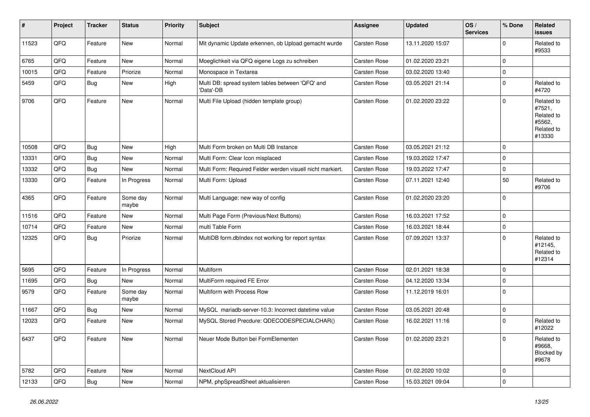| $\vert$ # | Project | <b>Tracker</b> | <b>Status</b>     | <b>Priority</b> | <b>Subject</b>                                                | <b>Assignee</b> | <b>Updated</b>   | OS/<br><b>Services</b> | % Done      | Related<br><b>issues</b>                                             |
|-----------|---------|----------------|-------------------|-----------------|---------------------------------------------------------------|-----------------|------------------|------------------------|-------------|----------------------------------------------------------------------|
| 11523     | QFQ     | Feature        | <b>New</b>        | Normal          | Mit dynamic Update erkennen, ob Upload gemacht wurde          | Carsten Rose    | 13.11.2020 15:07 |                        | $\mathbf 0$ | Related to<br>#9533                                                  |
| 6765      | QFQ     | Feature        | New               | Normal          | Moeglichkeit via QFQ eigene Logs zu schreiben                 | Carsten Rose    | 01.02.2020 23:21 |                        | $\mathbf 0$ |                                                                      |
| 10015     | QFQ     | Feature        | Priorize          | Normal          | Monospace in Textarea                                         | Carsten Rose    | 03.02.2020 13:40 |                        | $\mathbf 0$ |                                                                      |
| 5459      | QFQ     | <b>Bug</b>     | New               | High            | Multi DB: spread system tables between 'QFQ' and<br>'Data'-DB | Carsten Rose    | 03.05.2021 21:14 |                        | $\mathbf 0$ | Related to<br>#4720                                                  |
| 9706      | QFQ     | Feature        | New               | Normal          | Multi File Upload (hidden template group)                     | Carsten Rose    | 01.02.2020 23:22 |                        | $\mathbf 0$ | Related to<br>#7521,<br>Related to<br>#5562,<br>Related to<br>#13330 |
| 10508     | QFQ     | Bug            | New               | High            | Multi Form broken on Multi DB Instance                        | Carsten Rose    | 03.05.2021 21:12 |                        | $\mathbf 0$ |                                                                      |
| 13331     | QFQ     | <b>Bug</b>     | New               | Normal          | Multi Form: Clear Icon misplaced                              | Carsten Rose    | 19.03.2022 17:47 |                        | $\Omega$    |                                                                      |
| 13332     | QFQ     | Bug            | New               | Normal          | Multi Form: Required Felder werden visuell nicht markiert.    | Carsten Rose    | 19.03.2022 17:47 |                        | $\mathbf 0$ |                                                                      |
| 13330     | QFQ     | Feature        | In Progress       | Normal          | Multi Form: Upload                                            | Carsten Rose    | 07.11.2021 12:40 |                        | 50          | Related to<br>#9706                                                  |
| 4365      | QFQ     | Feature        | Some day<br>maybe | Normal          | Multi Language: new way of config                             | Carsten Rose    | 01.02.2020 23:20 |                        | $\mathbf 0$ |                                                                      |
| 11516     | QFQ     | Feature        | <b>New</b>        | Normal          | Multi Page Form (Previous/Next Buttons)                       | Carsten Rose    | 16.03.2021 17:52 |                        | $\mathbf 0$ |                                                                      |
| 10714     | QFQ     | Feature        | New               | Normal          | multi Table Form                                              | Carsten Rose    | 16.03.2021 18:44 |                        | $\mathbf 0$ |                                                                      |
| 12325     | QFQ     | Bug            | Priorize          | Normal          | MultiDB form.dblndex not working for report syntax            | Carsten Rose    | 07.09.2021 13:37 |                        | $\mathbf 0$ | Related to<br>#12145,<br>Related to<br>#12314                        |
| 5695      | QFQ     | Feature        | In Progress       | Normal          | Multiform                                                     | Carsten Rose    | 02.01.2021 18:38 |                        | $\mathbf 0$ |                                                                      |
| 11695     | QFQ     | <b>Bug</b>     | New               | Normal          | MultiForm required FE Error                                   | Carsten Rose    | 04.12.2020 13:34 |                        | $\mathbf 0$ |                                                                      |
| 9579      | QFQ     | Feature        | Some day<br>maybe | Normal          | Multiform with Process Row                                    | Carsten Rose    | 11.12.2019 16:01 |                        | $\Omega$    |                                                                      |
| 11667     | QFQ     | Bug            | New               | Normal          | MySQL mariadb-server-10.3: Incorrect datetime value           | Carsten Rose    | 03.05.2021 20:48 |                        | $\mathbf 0$ |                                                                      |
| 12023     | QFQ     | Feature        | New               | Normal          | MySQL Stored Precdure: QDECODESPECIALCHAR()                   | Carsten Rose    | 16.02.2021 11:16 |                        | $\Omega$    | Related to<br>#12022                                                 |
| 6437      | QFO     | Feature        | New               | Normal          | Neuer Mode Button bei FormElementen                           | Carsten Rose    | 01.02.2020 23:21 |                        | $\pmb{0}$   | Related to<br>#9668,<br>Blocked by<br>#9678                          |
| 5782      | QFQ     | Feature        | New               | Normal          | NextCloud API                                                 | Carsten Rose    | 01.02.2020 10:02 |                        | $\mathbf 0$ |                                                                      |
| 12133     | QFG     | Bug            | New               | Normal          | NPM, phpSpreadSheet aktualisieren                             | Carsten Rose    | 15.03.2021 09:04 |                        | $\pmb{0}$   |                                                                      |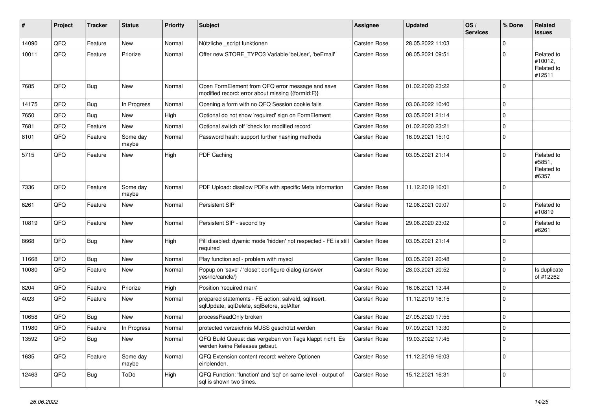| #     | Project | <b>Tracker</b> | <b>Status</b>     | <b>Priority</b> | <b>Subject</b>                                                                                        | <b>Assignee</b>     | <b>Updated</b>   | OS/<br><b>Services</b> | % Done      | Related<br><b>issues</b>                      |
|-------|---------|----------------|-------------------|-----------------|-------------------------------------------------------------------------------------------------------|---------------------|------------------|------------------------|-------------|-----------------------------------------------|
| 14090 | QFQ     | Feature        | <b>New</b>        | Normal          | Nützliche _script funktionen                                                                          | Carsten Rose        | 28.05.2022 11:03 |                        | $\mathbf 0$ |                                               |
| 10011 | QFQ     | Feature        | Priorize          | Normal          | Offer new STORE_TYPO3 Variable 'beUser', 'beEmail'                                                    | Carsten Rose        | 08.05.2021 09:51 |                        | $\Omega$    | Related to<br>#10012,<br>Related to<br>#12511 |
| 7685  | QFQ     | Bug            | New               | Normal          | Open FormElement from QFQ error message and save<br>modified record: error about missing {{formId:F}} | <b>Carsten Rose</b> | 01.02.2020 23:22 |                        | $\Omega$    |                                               |
| 14175 | QFQ     | <b>Bug</b>     | In Progress       | Normal          | Opening a form with no QFQ Session cookie fails                                                       | <b>Carsten Rose</b> | 03.06.2022 10:40 |                        | $\mathbf 0$ |                                               |
| 7650  | QFQ     | Bug            | New               | High            | Optional do not show 'required' sign on FormElement                                                   | Carsten Rose        | 03.05.2021 21:14 |                        | $\Omega$    |                                               |
| 7681  | QFQ     | Feature        | New               | Normal          | Optional switch off 'check for modified record'                                                       | Carsten Rose        | 01.02.2020 23:21 |                        | $\mathbf 0$ |                                               |
| 8101  | QFQ     | Feature        | Some day<br>maybe | Normal          | Password hash: support further hashing methods                                                        | Carsten Rose        | 16.09.2021 15:10 |                        | $\Omega$    |                                               |
| 5715  | QFQ     | Feature        | New               | High            | PDF Caching                                                                                           | Carsten Rose        | 03.05.2021 21:14 |                        | $\mathbf 0$ | Related to<br>#5851,<br>Related to<br>#6357   |
| 7336  | QFQ     | Feature        | Some day<br>maybe | Normal          | PDF Upload: disallow PDFs with specific Meta information                                              | <b>Carsten Rose</b> | 11.12.2019 16:01 |                        | $\Omega$    |                                               |
| 6261  | QFQ     | Feature        | New               | Normal          | Persistent SIP                                                                                        | Carsten Rose        | 12.06.2021 09:07 |                        | $\mathbf 0$ | Related to<br>#10819                          |
| 10819 | QFQ     | Feature        | New               | Normal          | Persistent SIP - second try                                                                           | Carsten Rose        | 29.06.2020 23:02 |                        | $\mathbf 0$ | Related to<br>#6261                           |
| 8668  | QFQ     | <b>Bug</b>     | New               | High            | Pill disabled: dyamic mode 'hidden' not respected - FE is still<br>required                           | Carsten Rose        | 03.05.2021 21:14 |                        | $\Omega$    |                                               |
| 11668 | QFQ     | <b>Bug</b>     | New               | Normal          | Play function.sql - problem with mysql                                                                | Carsten Rose        | 03.05.2021 20:48 |                        | $\pmb{0}$   |                                               |
| 10080 | QFQ     | Feature        | New               | Normal          | Popup on 'save' / 'close': configure dialog (answer<br>yes/no/cancle/)                                | Carsten Rose        | 28.03.2021 20:52 |                        | $\Omega$    | Is duplicate<br>of #12262                     |
| 8204  | QFQ     | Feature        | Priorize          | High            | Position 'required mark'                                                                              | Carsten Rose        | 16.06.2021 13:44 |                        | $\pmb{0}$   |                                               |
| 4023  | QFQ     | Feature        | New               | Normal          | prepared statements - FE action: salveld, sqlInsert,<br>sqlUpdate, sqlDelete, sqlBefore, sqlAfter     | Carsten Rose        | 11.12.2019 16:15 |                        | $\mathbf 0$ |                                               |
| 10658 | QFQ     | Bug            | New               | Normal          | processReadOnly broken                                                                                | Carsten Rose        | 27.05.2020 17:55 |                        | $\pmb{0}$   |                                               |
| 11980 | QFQ     | Feature        | In Progress       | Normal          | protected verzeichnis MUSS geschützt werden                                                           | Carsten Rose        | 07.09.2021 13:30 |                        | $\pmb{0}$   |                                               |
| 13592 | QFG     | <b>Bug</b>     | New               | Normal          | QFQ Build Queue: das vergeben von Tags klappt nicht. Es<br>werden keine Releases gebaut.              | Carsten Rose        | 19.03.2022 17:45 |                        | $\mathbf 0$ |                                               |
| 1635  | QFQ     | Feature        | Some day<br>maybe | Normal          | QFQ Extension content record: weitere Optionen<br>einblenden.                                         | Carsten Rose        | 11.12.2019 16:03 |                        | $\mathbf 0$ |                                               |
| 12463 | QFG     | <b>Bug</b>     | ToDo              | High            | QFQ Function: 'function' and 'sql' on same level - output of<br>sql is shown two times.               | Carsten Rose        | 15.12.2021 16:31 |                        | $\mathbf 0$ |                                               |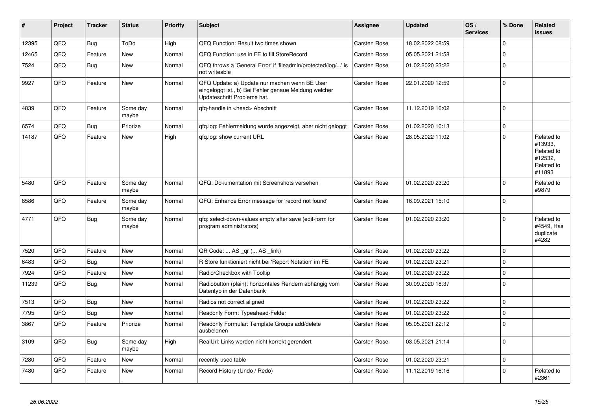| #     | Project | <b>Tracker</b> | <b>Status</b>     | <b>Priority</b> | <b>Subject</b>                                                                                                                        | Assignee            | <b>Updated</b>   | OS/<br><b>Services</b> | % Done      | Related<br><b>issues</b>                                               |
|-------|---------|----------------|-------------------|-----------------|---------------------------------------------------------------------------------------------------------------------------------------|---------------------|------------------|------------------------|-------------|------------------------------------------------------------------------|
| 12395 | QFQ     | <b>Bug</b>     | ToDo              | High            | QFQ Function: Result two times shown                                                                                                  | <b>Carsten Rose</b> | 18.02.2022 08:59 |                        | $\Omega$    |                                                                        |
| 12465 | QFQ     | Feature        | New               | Normal          | QFQ Function: use in FE to fill StoreRecord                                                                                           | Carsten Rose        | 05.05.2021 21:58 |                        | $\mathsf 0$ |                                                                        |
| 7524  | QFQ     | <b>Bug</b>     | New               | Normal          | QFQ throws a 'General Error' if 'fileadmin/protected/log/' is<br>not writeable                                                        | Carsten Rose        | 01.02.2020 23:22 |                        | $\mathbf 0$ |                                                                        |
| 9927  | QFQ     | Feature        | <b>New</b>        | Normal          | QFQ Update: a) Update nur machen wenn BE User<br>eingeloggt ist., b) Bei Fehler genaue Meldung welcher<br>Updateschritt Probleme hat. | Carsten Rose        | 22.01.2020 12:59 |                        | $\Omega$    |                                                                        |
| 4839  | QFQ     | Feature        | Some day<br>maybe | Normal          | qfq-handle in <head> Abschnitt</head>                                                                                                 | <b>Carsten Rose</b> | 11.12.2019 16:02 |                        | $\mathbf 0$ |                                                                        |
| 6574  | QFQ     | Bug            | Priorize          | Normal          | qfq.log: Fehlermeldung wurde angezeigt, aber nicht geloggt                                                                            | <b>Carsten Rose</b> | 01.02.2020 10:13 |                        | $\mathbf 0$ |                                                                        |
| 14187 | QFQ     | Feature        | New               | High            | gfg.log: show current URL                                                                                                             | <b>Carsten Rose</b> | 28.05.2022 11:02 |                        | $\Omega$    | Related to<br>#13933,<br>Related to<br>#12532,<br>Related to<br>#11893 |
| 5480  | QFQ     | Feature        | Some day<br>maybe | Normal          | QFQ: Dokumentation mit Screenshots versehen                                                                                           | Carsten Rose        | 01.02.2020 23:20 |                        | $\mathbf 0$ | Related to<br>#9879                                                    |
| 8586  | QFQ     | Feature        | Some day<br>maybe | Normal          | QFQ: Enhance Error message for 'record not found'                                                                                     | <b>Carsten Rose</b> | 16.09.2021 15:10 |                        | $\mathbf 0$ |                                                                        |
| 4771  | QFQ     | Bug            | Some day<br>maybe | Normal          | qfq: select-down-values empty after save (edit-form for<br>program administrators)                                                    | <b>Carsten Rose</b> | 01.02.2020 23:20 |                        | $\Omega$    | Related to<br>#4549, Has<br>duplicate<br>#4282                         |
| 7520  | QFQ     | Feature        | <b>New</b>        | Normal          | QR Code:  AS _qr ( AS _link)                                                                                                          | <b>Carsten Rose</b> | 01.02.2020 23:22 |                        | $\mathbf 0$ |                                                                        |
| 6483  | QFQ     | Bug            | New               | Normal          | R Store funktioniert nicht bei 'Report Notation' im FE                                                                                | Carsten Rose        | 01.02.2020 23:21 |                        | $\mathbf 0$ |                                                                        |
| 7924  | QFQ     | Feature        | New               | Normal          | Radio/Checkbox with Tooltip                                                                                                           | <b>Carsten Rose</b> | 01.02.2020 23:22 |                        | $\mathbf 0$ |                                                                        |
| 11239 | QFQ     | <b>Bug</b>     | <b>New</b>        | Normal          | Radiobutton (plain): horizontales Rendern abhängig vom<br>Datentyp in der Datenbank                                                   | <b>Carsten Rose</b> | 30.09.2020 18:37 |                        | $\mathbf 0$ |                                                                        |
| 7513  | QFQ     | <b>Bug</b>     | <b>New</b>        | Normal          | Radios not correct aligned                                                                                                            | <b>Carsten Rose</b> | 01.02.2020 23:22 |                        | $\Omega$    |                                                                        |
| 7795  | QFQ     | <b>Bug</b>     | <b>New</b>        | Normal          | Readonly Form: Typeahead-Felder                                                                                                       | <b>Carsten Rose</b> | 01.02.2020 23:22 |                        | $\mathbf 0$ |                                                                        |
| 3867  | QFQ     | Feature        | Priorize          | Normal          | Readonly Formular: Template Groups add/delete<br>ausbeldnen                                                                           | Carsten Rose        | 05.05.2021 22:12 |                        | $\mathbf 0$ |                                                                        |
| 3109  | QFQ     | Bug            | Some day<br>maybe | High            | RealUrl: Links werden nicht korrekt gerendert                                                                                         | <b>Carsten Rose</b> | 03.05.2021 21:14 |                        | $\mathbf 0$ |                                                                        |
| 7280  | QFQ     | Feature        | New               | Normal          | recently used table                                                                                                                   | <b>Carsten Rose</b> | 01.02.2020 23:21 |                        | $\mathbf 0$ |                                                                        |
| 7480  | QFQ     | Feature        | New               | Normal          | Record History (Undo / Redo)                                                                                                          | <b>Carsten Rose</b> | 11.12.2019 16:16 |                        | $\mathbf 0$ | Related to<br>#2361                                                    |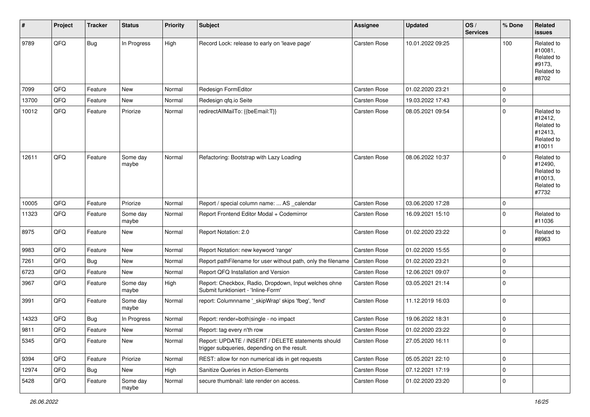| #     | Project | <b>Tracker</b> | <b>Status</b>     | <b>Priority</b> | <b>Subject</b>                                                                                     | <b>Assignee</b>     | <b>Updated</b>   | OS/<br><b>Services</b> | % Done              | Related<br><b>issues</b>                                               |
|-------|---------|----------------|-------------------|-----------------|----------------------------------------------------------------------------------------------------|---------------------|------------------|------------------------|---------------------|------------------------------------------------------------------------|
| 9789  | QFQ     | Bug            | In Progress       | High            | Record Lock: release to early on 'leave page'                                                      | Carsten Rose        | 10.01.2022 09:25 |                        | 100                 | Related to<br>#10081,<br>Related to<br>#9173,<br>Related to<br>#8702   |
| 7099  | QFQ     | Feature        | <b>New</b>        | Normal          | Redesign FormEditor                                                                                | <b>Carsten Rose</b> | 01.02.2020 23:21 |                        | $\mathbf 0$         |                                                                        |
| 13700 | QFQ     | Feature        | New               | Normal          | Redesign qfq.io Seite                                                                              | <b>Carsten Rose</b> | 19.03.2022 17:43 |                        | $\mathbf 0$         |                                                                        |
| 10012 | QFQ     | Feature        | Priorize          | Normal          | redirectAllMailTo: {{beEmail:T}}                                                                   | Carsten Rose        | 08.05.2021 09:54 |                        | $\mathbf 0$         | Related to<br>#12412,<br>Related to<br>#12413,<br>Related to<br>#10011 |
| 12611 | QFQ     | Feature        | Some day<br>maybe | Normal          | Refactoring: Bootstrap with Lazy Loading                                                           | Carsten Rose        | 08.06.2022 10:37 |                        | $\mathbf 0$         | Related to<br>#12490,<br>Related to<br>#10013,<br>Related to<br>#7732  |
| 10005 | QFQ     | Feature        | Priorize          | Normal          | Report / special column name:  AS _calendar                                                        | Carsten Rose        | 03.06.2020 17:28 |                        | $\mathbf 0$         |                                                                        |
| 11323 | QFQ     | Feature        | Some day<br>maybe | Normal          | Report Frontend Editor Modal + Codemirror                                                          | <b>Carsten Rose</b> | 16.09.2021 15:10 |                        | $\mathbf 0$         | Related to<br>#11036                                                   |
| 8975  | QFQ     | Feature        | <b>New</b>        | Normal          | Report Notation: 2.0                                                                               | <b>Carsten Rose</b> | 01.02.2020 23:22 |                        | $\mathbf 0$         | Related to<br>#8963                                                    |
| 9983  | QFQ     | Feature        | New               | Normal          | Report Notation: new keyword 'range'                                                               | Carsten Rose        | 01.02.2020 15:55 |                        | $\mathbf 0$         |                                                                        |
| 7261  | QFQ     | <b>Bug</b>     | New               | Normal          | Report pathFilename for user without path, only the filename                                       | Carsten Rose        | 01.02.2020 23:21 |                        | $\mathbf 0$         |                                                                        |
| 6723  | QFQ     | Feature        | New               | Normal          | Report QFQ Installation and Version                                                                | Carsten Rose        | 12.06.2021 09:07 |                        | $\mathbf 0$         |                                                                        |
| 3967  | QFQ     | Feature        | Some day<br>maybe | High            | Report: Checkbox, Radio, Dropdown, Input welches ohne<br>Submit funktioniert - 'Inline-Form'       | Carsten Rose        | 03.05.2021 21:14 |                        | $\mathbf 0$         |                                                                        |
| 3991  | QFQ     | Feature        | Some day<br>maybe | Normal          | report: Columnname '_skipWrap' skips 'fbeg', 'fend'                                                | Carsten Rose        | 11.12.2019 16:03 |                        | $\mathbf 0$         |                                                                        |
| 14323 | QFQ     | <b>Bug</b>     | In Progress       | Normal          | Report: render=both single - no impact                                                             | Carsten Rose        | 19.06.2022 18:31 |                        | $\mathsf{O}\xspace$ |                                                                        |
| 9811  | QFQ     | Feature        | New               | Normal          | Report: tag every n'th row                                                                         | <b>Carsten Rose</b> | 01.02.2020 23:22 |                        | $\mathbf 0$         |                                                                        |
| 5345  | QFQ     | Feature        | New               | Normal          | Report: UPDATE / INSERT / DELETE statements should<br>trigger subqueries, depending on the result. | Carsten Rose        | 27.05.2020 16:11 |                        | $\mathbf 0$         |                                                                        |
| 9394  | QFQ     | Feature        | Priorize          | Normal          | REST: allow for non numerical ids in get requests                                                  | Carsten Rose        | 05.05.2021 22:10 |                        | $\mathsf{O}\xspace$ |                                                                        |
| 12974 | QFQ     | <b>Bug</b>     | New               | High            | Sanitize Queries in Action-Elements                                                                | Carsten Rose        | 07.12.2021 17:19 |                        | 0                   |                                                                        |
| 5428  | QFQ     | Feature        | Some day<br>maybe | Normal          | secure thumbnail: late render on access.                                                           | Carsten Rose        | 01.02.2020 23:20 |                        | $\mathsf{O}\xspace$ |                                                                        |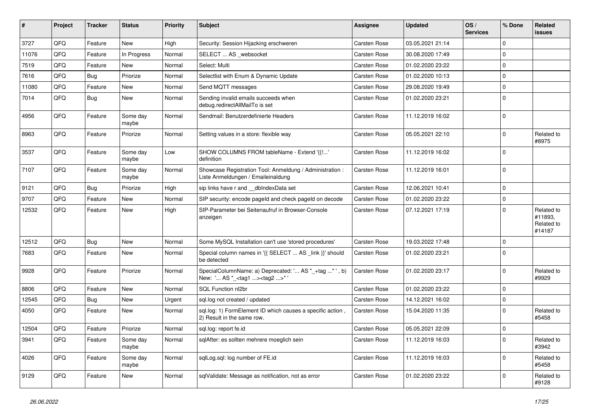| #     | Project | <b>Tracker</b> | <b>Status</b>     | <b>Priority</b> | <b>Subject</b>                                                                                      | Assignee            | <b>Updated</b>   | OS/<br><b>Services</b> | % Done      | Related<br><b>issues</b>                      |
|-------|---------|----------------|-------------------|-----------------|-----------------------------------------------------------------------------------------------------|---------------------|------------------|------------------------|-------------|-----------------------------------------------|
| 3727  | QFQ     | Feature        | New               | High            | Security: Session Hijacking erschweren                                                              | Carsten Rose        | 03.05.2021 21:14 |                        | $\mathbf 0$ |                                               |
| 11076 | QFQ     | Feature        | In Progress       | Normal          | SELECT  AS _websocket                                                                               | <b>Carsten Rose</b> | 30.08.2020 17:49 |                        | $\mathbf 0$ |                                               |
| 7519  | QFQ     | Feature        | New               | Normal          | Select: Multi                                                                                       | <b>Carsten Rose</b> | 01.02.2020 23:22 |                        | $\mathbf 0$ |                                               |
| 7616  | QFQ     | Bug            | Priorize          | Normal          | Selectlist with Enum & Dynamic Update                                                               | <b>Carsten Rose</b> | 01.02.2020 10:13 |                        | $\mathbf 0$ |                                               |
| 11080 | QFQ     | Feature        | New               | Normal          | Send MQTT messages                                                                                  | <b>Carsten Rose</b> | 29.08.2020 19:49 |                        | $\mathbf 0$ |                                               |
| 7014  | QFQ     | Bug            | New               | Normal          | Sending invalid emails succeeds when<br>debug.redirectAllMailTo is set                              | <b>Carsten Rose</b> | 01.02.2020 23:21 |                        | $\mathbf 0$ |                                               |
| 4956  | QFQ     | Feature        | Some day<br>maybe | Normal          | Sendmail: Benutzerdefinierte Headers                                                                | Carsten Rose        | 11.12.2019 16:02 |                        | $\Omega$    |                                               |
| 8963  | QFQ     | Feature        | Priorize          | Normal          | Setting values in a store: flexible way                                                             | <b>Carsten Rose</b> | 05.05.2021 22:10 |                        | $\mathbf 0$ | Related to<br>#8975                           |
| 3537  | QFQ     | Feature        | Some day<br>maybe | Low             | SHOW COLUMNS FROM tableName - Extend '{{!'<br>definition                                            | <b>Carsten Rose</b> | 11.12.2019 16:02 |                        | $\mathbf 0$ |                                               |
| 7107  | QFQ     | Feature        | Some day<br>maybe | Normal          | Showcase Registration Tool: Anmeldung / Administration :<br>Liste Anmeldungen / Emaileinaldung      | <b>Carsten Rose</b> | 11.12.2019 16:01 |                        | $\mathbf 0$ |                                               |
| 9121  | QFQ     | <b>Bug</b>     | Priorize          | High            | sip links have r and __dbIndexData set                                                              | <b>Carsten Rose</b> | 12.06.2021 10:41 |                        | $\mathbf 0$ |                                               |
| 9707  | QFQ     | Feature        | New               | Normal          | SIP security: encode pageld and check pageld on decode                                              | <b>Carsten Rose</b> | 01.02.2020 23:22 |                        | $\mathbf 0$ |                                               |
| 12532 | QFQ     | Feature        | New               | High            | SIP-Parameter bei Seitenaufruf in Browser-Console<br>anzeigen                                       | <b>Carsten Rose</b> | 07.12.2021 17:19 |                        | $\mathbf 0$ | Related to<br>#11893,<br>Related to<br>#14187 |
| 12512 | QFQ     | <b>Bug</b>     | <b>New</b>        | Normal          | Some MySQL Installation can't use 'stored procedures'                                               | <b>Carsten Rose</b> | 19.03.2022 17:48 |                        | $\mathbf 0$ |                                               |
| 7683  | QFQ     | Feature        | New               | Normal          | Special column names in '{{ SELECT  AS _link }}' should<br>be detected                              | <b>Carsten Rose</b> | 01.02.2020 23:21 |                        | $\mathbf 0$ |                                               |
| 9928  | QFQ     | Feature        | Priorize          | Normal          | SpecialColumnName: a) Deprecated: ' AS "_+tag " ', b)<br>New: ' AS "_ <tag1><tag2>" '</tag2></tag1> | <b>Carsten Rose</b> | 01.02.2020 23:17 |                        | $\mathbf 0$ | Related to<br>#9929                           |
| 8806  | QFQ     | Feature        | New               | Normal          | SQL Function nl2br                                                                                  | <b>Carsten Rose</b> | 01.02.2020 23:22 |                        | $\mathbf 0$ |                                               |
| 12545 | QFQ     | Bug            | New               | Urgent          | sql.log not created / updated                                                                       | <b>Carsten Rose</b> | 14.12.2021 16:02 |                        | $\mathbf 0$ |                                               |
| 4050  | QFQ     | Feature        | New               | Normal          | sql.log: 1) FormElement ID which causes a specific action,<br>2) Result in the same row.            | <b>Carsten Rose</b> | 15.04.2020 11:35 |                        | $\mathbf 0$ | Related to<br>#5458                           |
| 12504 | QFQ     | Feature        | Priorize          | Normal          | sql.log: report fe.id                                                                               | <b>Carsten Rose</b> | 05.05.2021 22:09 |                        | $\mathbf 0$ |                                               |
| 3941  | QFQ     | Feature        | Some day<br>maybe | Normal          | sqlAfter: es sollten mehrere moeglich sein                                                          | Carsten Rose        | 11.12.2019 16:03 |                        | $\mathbf 0$ | Related to<br>#3942                           |
| 4026  | QFG     | Feature        | Some day<br>maybe | Normal          | sqlLog.sql: log number of FE.id                                                                     | Carsten Rose        | 11.12.2019 16:03 |                        | $\mathbf 0$ | Related to<br>#5458                           |
| 9129  | QFQ     | Feature        | New               | Normal          | sqlValidate: Message as notification, not as error                                                  | Carsten Rose        | 01.02.2020 23:22 |                        | $\mathbf 0$ | Related to<br>#9128                           |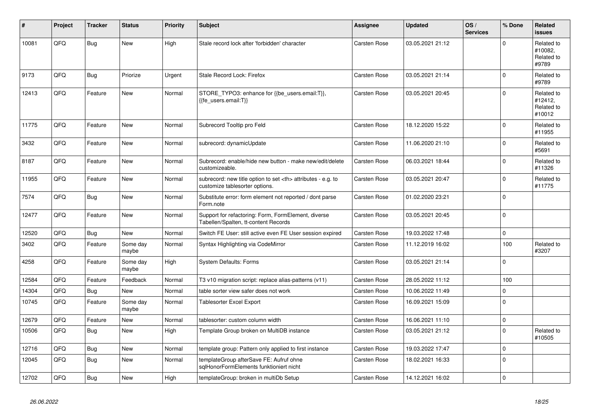| #     | Project | <b>Tracker</b> | <b>Status</b>     | <b>Priority</b> | <b>Subject</b>                                                                                       | <b>Assignee</b>                                        | <b>Updated</b>   | OS/<br><b>Services</b> | % Done      | Related<br><b>issues</b>                      |                      |
|-------|---------|----------------|-------------------|-----------------|------------------------------------------------------------------------------------------------------|--------------------------------------------------------|------------------|------------------------|-------------|-----------------------------------------------|----------------------|
| 10081 | QFQ     | Bug            | <b>New</b>        | High            | Stale record lock after 'forbidden' character                                                        | Carsten Rose                                           | 03.05.2021 21:12 |                        | $\Omega$    | Related to<br>#10082.<br>Related to<br>#9789  |                      |
| 9173  | QFQ     | Bug            | Priorize          | Urgent          | Stale Record Lock: Firefox                                                                           | Carsten Rose                                           | 03.05.2021 21:14 |                        | $\Omega$    | Related to<br>#9789                           |                      |
| 12413 | QFQ     | Feature        | <b>New</b>        | Normal          | STORE_TYPO3: enhance for {{be_users.email:T}},<br>{{fe users.email:T}}                               | Carsten Rose                                           | 03.05.2021 20:45 |                        | $\Omega$    | Related to<br>#12412.<br>Related to<br>#10012 |                      |
| 11775 | QFQ     | Feature        | <b>New</b>        | Normal          | Subrecord Tooltip pro Feld                                                                           | Carsten Rose                                           | 18.12.2020 15:22 |                        | $\Omega$    | Related to<br>#11955                          |                      |
| 3432  | QFQ     | Feature        | <b>New</b>        | Normal          | subrecord: dynamicUpdate                                                                             | Carsten Rose                                           | 11.06.2020 21:10 |                        | $\mathbf 0$ | Related to<br>#5691                           |                      |
| 8187  | QFQ     | Feature        | <b>New</b>        | Normal          | Subrecord: enable/hide new button - make new/edit/delete<br>customizeable.                           | Carsten Rose                                           | 06.03.2021 18:44 |                        | $\Omega$    | Related to<br>#11326                          |                      |
| 11955 | QFQ     | Feature        | <b>New</b>        | Normal          | subrecord: new title option to set <th> attributes - e.g. to<br/>customize tablesorter options.</th> | attributes - e.g. to<br>customize tablesorter options. | Carsten Rose     | 03.05.2021 20:47       |             | $\mathbf 0$                                   | Related to<br>#11775 |
| 7574  | QFQ     | Bug            | <b>New</b>        | Normal          | Substitute error: form element not reported / dont parse<br>Form.note                                | Carsten Rose                                           | 01.02.2020 23:21 |                        | $\pmb{0}$   |                                               |                      |
| 12477 | QFQ     | Feature        | <b>New</b>        | Normal          | Support for refactoring: Form, FormElement, diverse<br>Tabellen/Spalten, tt-content Records          | Carsten Rose                                           | 03.05.2021 20:45 |                        | $\mathbf 0$ |                                               |                      |
| 12520 | QFQ     | Bug            | <b>New</b>        | Normal          | Switch FE User: still active even FE User session expired                                            | <b>Carsten Rose</b>                                    | 19.03.2022 17:48 |                        | $\mathbf 0$ |                                               |                      |
| 3402  | QFQ     | Feature        | Some day<br>maybe | Normal          | Syntax Highlighting via CodeMirror                                                                   | Carsten Rose                                           | 11.12.2019 16:02 |                        | 100         | Related to<br>#3207                           |                      |
| 4258  | QFQ     | Feature        | Some day<br>maybe | High            | <b>System Defaults: Forms</b>                                                                        | Carsten Rose                                           | 03.05.2021 21:14 |                        | $\mathbf 0$ |                                               |                      |
| 12584 | QFQ     | Feature        | Feedback          | Normal          | T3 v10 migration script: replace alias-patterns (v11)                                                | Carsten Rose                                           | 28.05.2022 11:12 |                        | 100         |                                               |                      |
| 14304 | QFQ     | Bug            | New               | Normal          | table sorter view safer does not work                                                                | Carsten Rose                                           | 10.06.2022 11:49 |                        | $\mathbf 0$ |                                               |                      |
| 10745 | QFQ     | Feature        | Some day<br>maybe | Normal          | <b>Tablesorter Excel Export</b>                                                                      | Carsten Rose                                           | 16.09.2021 15:09 |                        | $\Omega$    |                                               |                      |
| 12679 | QFQ     | Feature        | <b>New</b>        | Normal          | tablesorter: custom column width                                                                     | Carsten Rose                                           | 16.06.2021 11:10 |                        | $\pmb{0}$   |                                               |                      |
| 10506 | QFQ     | Bug            | <b>New</b>        | High            | Template Group broken on MultiDB instance                                                            | Carsten Rose                                           | 03.05.2021 21:12 |                        | $\Omega$    | Related to<br>#10505                          |                      |
| 12716 | QFQ     | <b>Bug</b>     | <b>New</b>        | Normal          | template group: Pattern only applied to first instance                                               | Carsten Rose                                           | 19.03.2022 17:47 |                        | $\mathbf 0$ |                                               |                      |
| 12045 | QFQ     | <b>Bug</b>     | New               | Normal          | templateGroup afterSave FE: Aufruf ohne<br>sglHonorFormElements funktioniert nicht                   | Carsten Rose                                           | 18.02.2021 16:33 |                        | $\mathbf 0$ |                                               |                      |
| 12702 | QFQ     | Bug            | New               | High            | templateGroup: broken in multiDb Setup                                                               | Carsten Rose                                           | 14.12.2021 16:02 |                        | $\pmb{0}$   |                                               |                      |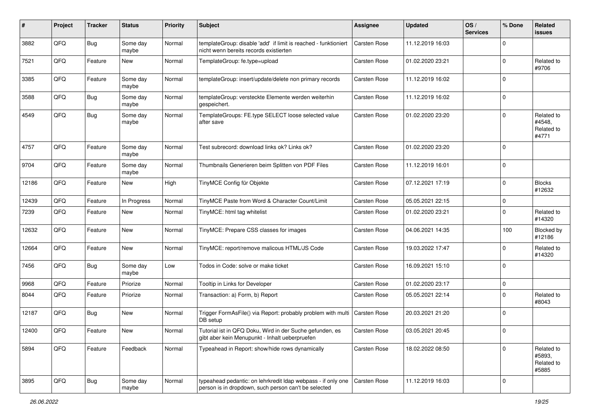| #     | Project | <b>Tracker</b> | <b>Status</b>     | <b>Priority</b> | <b>Subject</b>                                                                                                       | Assignee            | <b>Updated</b>   | OS/<br><b>Services</b> | % Done      | Related<br><b>issues</b>                    |
|-------|---------|----------------|-------------------|-----------------|----------------------------------------------------------------------------------------------------------------------|---------------------|------------------|------------------------|-------------|---------------------------------------------|
| 3882  | QFQ     | <b>Bug</b>     | Some day<br>maybe | Normal          | templateGroup: disable 'add' if limit is reached - funktioniert<br>nicht wenn bereits records existierten            | Carsten Rose        | 11.12.2019 16:03 |                        | $\mathbf 0$ |                                             |
| 7521  | QFQ     | Feature        | New               | Normal          | TemplateGroup: fe.type=upload                                                                                        | Carsten Rose        | 01.02.2020 23:21 |                        | $\mathbf 0$ | Related to<br>#9706                         |
| 3385  | QFQ     | Feature        | Some day<br>maybe | Normal          | templateGroup: insert/update/delete non primary records                                                              | Carsten Rose        | 11.12.2019 16:02 |                        | $\mathbf 0$ |                                             |
| 3588  | QFQ     | Bug            | Some day<br>maybe | Normal          | templateGroup: versteckte Elemente werden weiterhin<br>gespeichert.                                                  | Carsten Rose        | 11.12.2019 16:02 |                        | $\mathbf 0$ |                                             |
| 4549  | QFQ     | <b>Bug</b>     | Some day<br>maybe | Normal          | TemplateGroups: FE.type SELECT loose selected value<br>after save                                                    | <b>Carsten Rose</b> | 01.02.2020 23:20 |                        | $\mathbf 0$ | Related to<br>#4548,<br>Related to<br>#4771 |
| 4757  | QFQ     | Feature        | Some day<br>maybe | Normal          | Test subrecord: download links ok? Links ok?                                                                         | Carsten Rose        | 01.02.2020 23:20 |                        | $\mathbf 0$ |                                             |
| 9704  | QFQ     | Feature        | Some day<br>maybe | Normal          | Thumbnails Generieren beim Splitten von PDF Files                                                                    | <b>Carsten Rose</b> | 11.12.2019 16:01 |                        | $\mathbf 0$ |                                             |
| 12186 | QFQ     | Feature        | New               | High            | TinyMCE Config für Objekte                                                                                           | <b>Carsten Rose</b> | 07.12.2021 17:19 |                        | $\mathbf 0$ | <b>Blocks</b><br>#12632                     |
| 12439 | QFQ     | Feature        | In Progress       | Normal          | TinyMCE Paste from Word & Character Count/Limit                                                                      | <b>Carsten Rose</b> | 05.05.2021 22:15 |                        | $\mathbf 0$ |                                             |
| 7239  | QFQ     | Feature        | New               | Normal          | TinyMCE: html tag whitelist                                                                                          | <b>Carsten Rose</b> | 01.02.2020 23:21 |                        | $\mathbf 0$ | Related to<br>#14320                        |
| 12632 | QFQ     | Feature        | New               | Normal          | TinyMCE: Prepare CSS classes for images                                                                              | <b>Carsten Rose</b> | 04.06.2021 14:35 |                        | 100         | Blocked by<br>#12186                        |
| 12664 | QFQ     | Feature        | New               | Normal          | TinyMCE: report/remove malicous HTML/JS Code                                                                         | Carsten Rose        | 19.03.2022 17:47 |                        | $\mathbf 0$ | Related to<br>#14320                        |
| 7456  | QFQ     | Bug            | Some day<br>maybe | Low             | Todos in Code: solve or make ticket                                                                                  | <b>Carsten Rose</b> | 16.09.2021 15:10 |                        | $\mathbf 0$ |                                             |
| 9968  | QFQ     | Feature        | Priorize          | Normal          | Tooltip in Links for Developer                                                                                       | Carsten Rose        | 01.02.2020 23:17 |                        | $\pmb{0}$   |                                             |
| 8044  | QFQ     | Feature        | Priorize          | Normal          | Transaction: a) Form, b) Report                                                                                      | <b>Carsten Rose</b> | 05.05.2021 22:14 |                        | $\mathbf 0$ | Related to<br>#8043                         |
| 12187 | QFQ     | Bug            | New               | Normal          | Trigger FormAsFile() via Report: probably problem with multi<br>DB setup                                             | <b>Carsten Rose</b> | 20.03.2021 21:20 |                        | $\mathbf 0$ |                                             |
| 12400 | QFQ     | Feature        | <b>New</b>        | Normal          | Tutorial ist in QFQ Doku, Wird in der Suche gefunden, es<br>gibt aber kein Menupunkt - Inhalt ueberpruefen           | <b>Carsten Rose</b> | 03.05.2021 20:45 |                        | $\mathbf 0$ |                                             |
| 5894  | QFQ     | Feature        | Feedback          | Normal          | Typeahead in Report: show/hide rows dynamically                                                                      | Carsten Rose        | 18.02.2022 08:50 |                        | $\mathbf 0$ | Related to<br>#5893,<br>Related to<br>#5885 |
| 3895  | QFQ     | <b>Bug</b>     | Some day<br>maybe | Normal          | typeahead pedantic: on lehrkredit Idap webpass - if only one<br>person is in dropdown, such person can't be selected | Carsten Rose        | 11.12.2019 16:03 |                        | $\mathbf 0$ |                                             |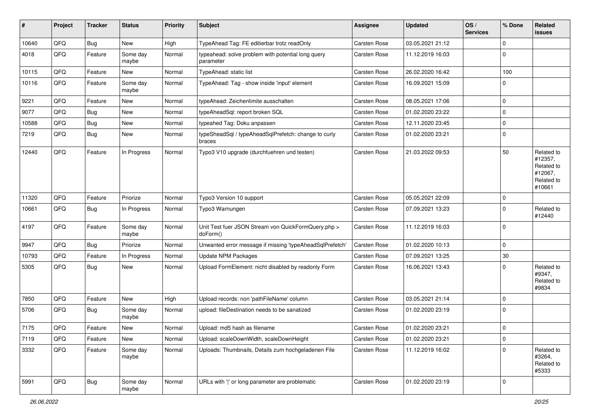| #     | Project | <b>Tracker</b> | <b>Status</b>     | <b>Priority</b> | <b>Subject</b>                                                  | <b>Assignee</b>     | <b>Updated</b>   | OS/<br><b>Services</b> | % Done         | Related<br><b>issues</b>                                               |
|-------|---------|----------------|-------------------|-----------------|-----------------------------------------------------------------|---------------------|------------------|------------------------|----------------|------------------------------------------------------------------------|
| 10640 | QFQ     | <b>Bug</b>     | New               | High            | TypeAhead Tag: FE editierbar trotz readOnly                     | <b>Carsten Rose</b> | 03.05.2021 21:12 |                        | $\mathbf 0$    |                                                                        |
| 4018  | QFQ     | Feature        | Some day<br>maybe | Normal          | typeahead: solve problem with potential long query<br>parameter | <b>Carsten Rose</b> | 11.12.2019 16:03 |                        | $\mathbf 0$    |                                                                        |
| 10115 | QFQ     | Feature        | <b>New</b>        | Normal          | TypeAhead: static list                                          | <b>Carsten Rose</b> | 26.02.2020 16:42 |                        | 100            |                                                                        |
| 10116 | QFQ     | Feature        | Some day<br>maybe | Normal          | TypeAhead: Tag - show inside 'input' element                    | <b>Carsten Rose</b> | 16.09.2021 15:09 |                        | $\Omega$       |                                                                        |
| 9221  | QFQ     | Feature        | New               | Normal          | typeAhead: Zeichenlimite ausschalten                            | <b>Carsten Rose</b> | 08.05.2021 17:06 |                        | $\mathbf 0$    |                                                                        |
| 9077  | QFQ     | Bug            | New               | Normal          | typeAheadSql: report broken SQL                                 | <b>Carsten Rose</b> | 01.02.2020 23:22 |                        | $\mathbf 0$    |                                                                        |
| 10588 | QFQ     | <b>Bug</b>     | <b>New</b>        | Normal          | typeahed Tag: Doku anpassen                                     | <b>Carsten Rose</b> | 12.11.2020 23:45 |                        | $\mathbf 0$    |                                                                        |
| 7219  | QFQ     | <b>Bug</b>     | New               | Normal          | typeSheadSql / typeAheadSqlPrefetch: change to curly<br>braces  | <b>Carsten Rose</b> | 01.02.2020 23:21 |                        | $\Omega$       |                                                                        |
| 12440 | QFQ     | Feature        | In Progress       | Normal          | Typo3 V10 upgrade (durchfuehren und testen)                     | <b>Carsten Rose</b> | 21.03.2022 09:53 |                        | 50             | Related to<br>#12357,<br>Related to<br>#12067,<br>Related to<br>#10661 |
| 11320 | QFQ     | Feature        | Priorize          | Normal          | Typo3 Version 10 support                                        | <b>Carsten Rose</b> | 05.05.2021 22:09 |                        | 0              |                                                                        |
| 10661 | QFQ     | Bug            | In Progress       | Normal          | Typo3 Warnungen                                                 | Carsten Rose        | 07.09.2021 13:23 |                        | $\Omega$       | Related to<br>#12440                                                   |
| 4197  | QFQ     | Feature        | Some day<br>maybe | Normal          | Unit Test fuer JSON Stream von QuickFormQuery.php ><br>doForm() | <b>Carsten Rose</b> | 11.12.2019 16:03 |                        | $\mathbf 0$    |                                                                        |
| 9947  | QFQ     | <b>Bug</b>     | Priorize          | Normal          | Unwanted error message if missing 'typeAheadSqlPrefetch'        | Carsten Rose        | 01.02.2020 10:13 |                        | $\mathbf 0$    |                                                                        |
| 10793 | QFQ     | Feature        | In Progress       | Normal          | <b>Update NPM Packages</b>                                      | Carsten Rose        | 07.09.2021 13:25 |                        | 30             |                                                                        |
| 5305  | QFQ     | Bug            | New               | Normal          | Upload FormElement: nicht disabled by readonly Form             | <b>Carsten Rose</b> | 16.06.2021 13:43 |                        | $\mathbf 0$    | Related to<br>#9347,<br>Related to<br>#9834                            |
| 7850  | QFQ     | Feature        | <b>New</b>        | High            | Upload records: non 'pathFileName' column                       | Carsten Rose        | 03.05.2021 21:14 |                        | $\mathbf 0$    |                                                                        |
| 5706  | QFQ     | Bug            | Some day<br>maybe | Normal          | upload: fileDestination needs to be sanatized                   | Carsten Rose        | 01.02.2020 23:19 |                        | $\mathbf 0$    |                                                                        |
| 7175  | QFQ     | Feature        | New               | Normal          | Upload: md5 hash as filename                                    | <b>Carsten Rose</b> | 01.02.2020 23:21 |                        | 0              |                                                                        |
| 7119  | QFG     | Feature        | New               | Normal          | Upload: scaleDownWidth, scaleDownHeight                         | Carsten Rose        | 01.02.2020 23:21 |                        | $\overline{0}$ |                                                                        |
| 3332  | QFQ     | Feature        | Some day<br>maybe | Normal          | Uploads: Thumbnails, Details zum hochgeladenen File             | Carsten Rose        | 11.12.2019 16:02 |                        | $\mathbf 0$    | Related to<br>#3264,<br>Related to<br>#5333                            |
| 5991  | QFO     | <b>Bug</b>     | Some day<br>maybe | Normal          | URLs with ' ' or long parameter are problematic                 | Carsten Rose        | 01.02.2020 23:19 |                        | 0              |                                                                        |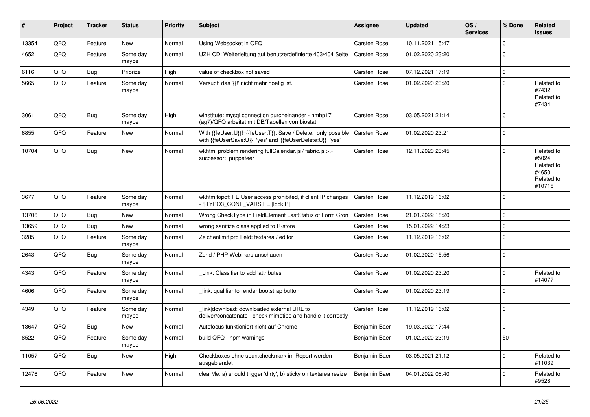| #     | Project | <b>Tracker</b> | <b>Status</b>     | <b>Priority</b> | <b>Subject</b>                                                                                                             | <b>Assignee</b> | <b>Updated</b>   | OS/<br><b>Services</b> | % Done      | Related<br><b>issues</b>                                             |
|-------|---------|----------------|-------------------|-----------------|----------------------------------------------------------------------------------------------------------------------------|-----------------|------------------|------------------------|-------------|----------------------------------------------------------------------|
| 13354 | QFQ     | Feature        | <b>New</b>        | Normal          | Using Websocket in QFQ                                                                                                     | Carsten Rose    | 10.11.2021 15:47 |                        | $\Omega$    |                                                                      |
| 4652  | QFQ     | Feature        | Some day<br>maybe | Normal          | UZH CD: Weiterleitung auf benutzerdefinierte 403/404 Seite                                                                 | Carsten Rose    | 01.02.2020 23:20 |                        | $\Omega$    |                                                                      |
| 6116  | QFQ     | Bug            | Priorize          | High            | value of checkbox not saved                                                                                                | Carsten Rose    | 07.12.2021 17:19 |                        | $\mathbf 0$ |                                                                      |
| 5665  | QFQ     | Feature        | Some day<br>maybe | Normal          | Versuch das '{{!' nicht mehr noetig ist.                                                                                   | Carsten Rose    | 01.02.2020 23:20 |                        | $\mathbf 0$ | Related to<br>#7432,<br>Related to<br>#7434                          |
| 3061  | QFQ     | <b>Bug</b>     | Some day<br>maybe | High            | winstitute: mysql connection durcheinander - nmhp17<br>(ag7)/QFQ arbeitet mit DB/Tabellen von biostat.                     | Carsten Rose    | 03.05.2021 21:14 |                        | $\mathbf 0$ |                                                                      |
| 6855  | QFQ     | Feature        | New               | Normal          | With {{feUser:U}}!={{feUser:T}}: Save / Delete: only possible<br>with {{feUserSave:U}}='yes' and '{{feUserDelete:U}}='yes' | Carsten Rose    | 01.02.2020 23:21 |                        | $\mathbf 0$ |                                                                      |
| 10704 | QFQ     | <b>Bug</b>     | <b>New</b>        | Normal          | wkhtml problem rendering fullCalendar.js / fabric.js >><br>successor: puppeteer                                            | Carsten Rose    | 12.11.2020 23:45 |                        | $\Omega$    | Related to<br>#5024,<br>Related to<br>#4650,<br>Related to<br>#10715 |
| 3677  | QFQ     | Feature        | Some day<br>maybe | Normal          | wkhtmitopdf: FE User access prohibited, if client IP changes<br>\$TYPO3_CONF_VARS[FE][lockIP]                              | Carsten Rose    | 11.12.2019 16:02 |                        | $\mathbf 0$ |                                                                      |
| 13706 | QFQ     | Bug            | <b>New</b>        | Normal          | Wrong CheckType in FieldElement LastStatus of Form Cron                                                                    | Carsten Rose    | 21.01.2022 18:20 |                        | $\mathbf 0$ |                                                                      |
| 13659 | QFQ     | <b>Bug</b>     | New               | Normal          | wrong sanitize class applied to R-store                                                                                    | Carsten Rose    | 15.01.2022 14:23 |                        | $\mathbf 0$ |                                                                      |
| 3285  | QFQ     | Feature        | Some day<br>maybe | Normal          | Zeichenlimit pro Feld: textarea / editor                                                                                   | Carsten Rose    | 11.12.2019 16:02 |                        | $\mathbf 0$ |                                                                      |
| 2643  | QFQ     | Bug            | Some day<br>maybe | Normal          | Zend / PHP Webinars anschauen                                                                                              | Carsten Rose    | 01.02.2020 15:56 |                        | $\Omega$    |                                                                      |
| 4343  | QFQ     | Feature        | Some day<br>maybe | Normal          | Link: Classifier to add 'attributes'                                                                                       | Carsten Rose    | 01.02.2020 23:20 |                        | $\Omega$    | Related to<br>#14077                                                 |
| 4606  | QFQ     | Feature        | Some day<br>maybe | Normal          | link: qualifier to render bootstrap button                                                                                 | Carsten Rose    | 01.02.2020 23:19 |                        | $\mathbf 0$ |                                                                      |
| 4349  | QFQ     | Feature        | Some day<br>maybe | Normal          | link download: downloaded external URL to<br>deliver/concatenate - check mimetipe and handle it correctly                  | Carsten Rose    | 11.12.2019 16:02 |                        | $\mathbf 0$ |                                                                      |
| 13647 | QFQ     | <b>Bug</b>     | <b>New</b>        | Normal          | Autofocus funktioniert nicht auf Chrome                                                                                    | Benjamin Baer   | 19.03.2022 17:44 |                        | $\mathbf 0$ |                                                                      |
| 8522  | QFQ     | Feature        | Some day<br>maybe | Normal          | build QFQ - npm warnings                                                                                                   | Benjamin Baer   | 01.02.2020 23:19 |                        | 50          |                                                                      |
| 11057 | QFQ     | Bug            | <b>New</b>        | High            | Checkboxes ohne span.checkmark im Report werden<br>ausgeblendet                                                            | Benjamin Baer   | 03.05.2021 21:12 |                        | $\mathbf 0$ | Related to<br>#11039                                                 |
| 12476 | QFQ     | Feature        | <b>New</b>        | Normal          | clearMe: a) should trigger 'dirty', b) sticky on textarea resize                                                           | Benjamin Baer   | 04.01.2022 08:40 |                        | $\Omega$    | Related to<br>#9528                                                  |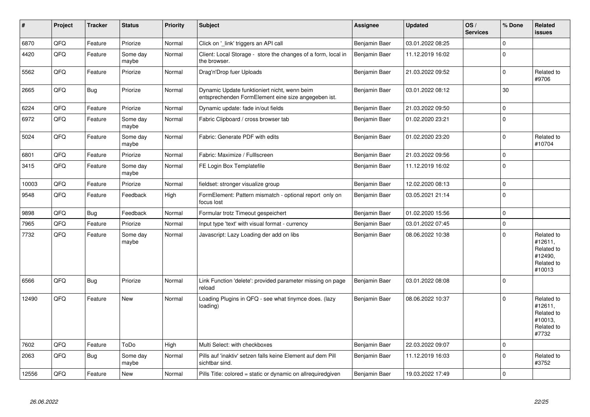| $\vert$ # | Project | <b>Tracker</b> | <b>Status</b>     | <b>Priority</b> | <b>Subject</b>                                                                                      | Assignee      | <b>Updated</b>   | OS/<br><b>Services</b> | % Done              | <b>Related</b><br><b>issues</b>                                        |
|-----------|---------|----------------|-------------------|-----------------|-----------------------------------------------------------------------------------------------------|---------------|------------------|------------------------|---------------------|------------------------------------------------------------------------|
| 6870      | QFQ     | Feature        | Priorize          | Normal          | Click on '_link' triggers an API call                                                               | Benjamin Baer | 03.01.2022 08:25 |                        | $\mathbf 0$         |                                                                        |
| 4420      | QFQ     | Feature        | Some day<br>maybe | Normal          | Client: Local Storage - store the changes of a form, local in<br>the browser.                       | Benjamin Baer | 11.12.2019 16:02 |                        | $\pmb{0}$           |                                                                        |
| 5562      | QFQ     | Feature        | Priorize          | Normal          | Drag'n'Drop fuer Uploads                                                                            | Benjamin Baer | 21.03.2022 09:52 |                        | $\mathbf 0$         | Related to<br>#9706                                                    |
| 2665      | QFQ     | <b>Bug</b>     | Priorize          | Normal          | Dynamic Update funktioniert nicht, wenn beim<br>entsprechenden FormElement eine size angegeben ist. | Benjamin Baer | 03.01.2022 08:12 |                        | 30                  |                                                                        |
| 6224      | QFQ     | Feature        | Priorize          | Normal          | Dynamic update: fade in/out fields                                                                  | Benjamin Baer | 21.03.2022 09:50 |                        | $\pmb{0}$           |                                                                        |
| 6972      | QFQ     | Feature        | Some day<br>maybe | Normal          | Fabric Clipboard / cross browser tab                                                                | Benjamin Baer | 01.02.2020 23:21 |                        | $\mathbf 0$         |                                                                        |
| 5024      | QFQ     | Feature        | Some day<br>maybe | Normal          | Fabric: Generate PDF with edits                                                                     | Benjamin Baer | 01.02.2020 23:20 |                        | $\pmb{0}$           | Related to<br>#10704                                                   |
| 6801      | QFQ     | Feature        | Priorize          | Normal          | Fabric: Maximize / FullIscreen                                                                      | Benjamin Baer | 21.03.2022 09:56 |                        | $\mathbf 0$         |                                                                        |
| 3415      | QFQ     | Feature        | Some day<br>maybe | Normal          | FE Login Box Templatefile                                                                           | Benjamin Baer | 11.12.2019 16:02 |                        | $\pmb{0}$           |                                                                        |
| 10003     | QFQ     | Feature        | Priorize          | Normal          | fieldset: stronger visualize group                                                                  | Benjamin Baer | 12.02.2020 08:13 |                        | $\mathbf 0$         |                                                                        |
| 9548      | QFQ     | Feature        | Feedback          | High            | FormElement: Pattern mismatch - optional report only on<br>focus lost                               | Benjamin Baer | 03.05.2021 21:14 |                        | $\pmb{0}$           |                                                                        |
| 9898      | QFQ     | Bug            | Feedback          | Normal          | Formular trotz Timeout gespeichert                                                                  | Benjamin Baer | 01.02.2020 15:56 |                        | $\mathbf 0$         |                                                                        |
| 7965      | QFQ     | Feature        | Priorize          | Normal          | Input type 'text' with visual format - currency                                                     | Benjamin Baer | 03.01.2022 07:45 |                        | $\mathsf{O}\xspace$ |                                                                        |
| 7732      | QFQ     | Feature        | Some day<br>maybe | Normal          | Javascript: Lazy Loading der add on libs                                                            | Benjamin Baer | 08.06.2022 10:38 |                        | $\mathbf 0$         | Related to<br>#12611,<br>Related to<br>#12490,<br>Related to<br>#10013 |
| 6566      | QFQ     | Bug            | Priorize          | Normal          | Link Function 'delete': provided parameter missing on page<br>reload                                | Benjamin Baer | 03.01.2022 08:08 |                        | $\mathbf 0$         |                                                                        |
| 12490     | QFQ     | Feature        | <b>New</b>        | Normal          | Loading Plugins in QFQ - see what tinymce does. (lazy<br>loading)                                   | Benjamin Baer | 08.06.2022 10:37 |                        | $\mathbf 0$         | Related to<br>#12611,<br>Related to<br>#10013,<br>Related to<br>#7732  |
| 7602      | QFQ     | Feature        | ToDo              | High            | Multi Select: with checkboxes                                                                       | Benjamin Baer | 22.03.2022 09:07 |                        | $\mathbf 0$         |                                                                        |
| 2063      | QFQ     | Bug            | Some day<br>maybe | Normal          | Pills auf 'inaktiv' setzen falls keine Element auf dem Pill<br>sichtbar sind.                       | Benjamin Baer | 11.12.2019 16:03 |                        | $\mathbf 0$         | Related to<br>#3752                                                    |
| 12556     | QFQ     | Feature        | <b>New</b>        | Normal          | Pills Title: colored = static or dynamic on allrequiredgiven                                        | Benjamin Baer | 19.03.2022 17:49 |                        | $\mathbf 0$         |                                                                        |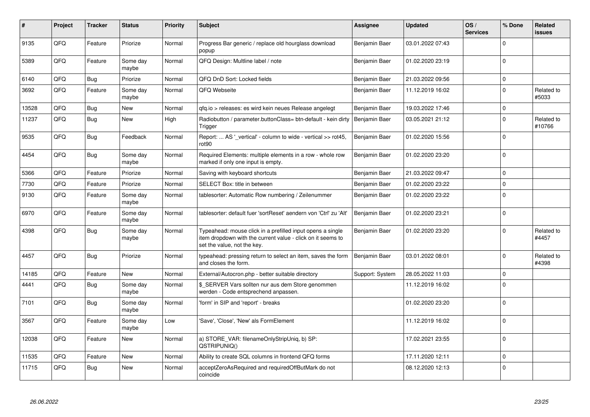| #     | Project | <b>Tracker</b> | <b>Status</b>     | <b>Priority</b> | <b>Subject</b>                                                                                                                                           | Assignee        | <b>Updated</b>   | OS/<br><b>Services</b> | % Done      | <b>Related</b><br><b>issues</b> |
|-------|---------|----------------|-------------------|-----------------|----------------------------------------------------------------------------------------------------------------------------------------------------------|-----------------|------------------|------------------------|-------------|---------------------------------|
| 9135  | QFQ     | Feature        | Priorize          | Normal          | Progress Bar generic / replace old hourglass download<br>popup                                                                                           | Benjamin Baer   | 03.01.2022 07:43 |                        | $\Omega$    |                                 |
| 5389  | QFQ     | Feature        | Some day<br>maybe | Normal          | QFQ Design: Multline label / note                                                                                                                        | Benjamin Baer   | 01.02.2020 23:19 |                        | $\mathbf 0$ |                                 |
| 6140  | QFQ     | Bug            | Priorize          | Normal          | QFQ DnD Sort: Locked fields                                                                                                                              | Benjamin Baer   | 21.03.2022 09:56 |                        | $\mathbf 0$ |                                 |
| 3692  | QFQ     | Feature        | Some day<br>maybe | Normal          | QFQ Webseite                                                                                                                                             | Benjamin Baer   | 11.12.2019 16:02 |                        | $\Omega$    | Related to<br>#5033             |
| 13528 | QFQ     | Bug            | <b>New</b>        | Normal          | gfg.io > releases: es wird kein neues Release angelegt                                                                                                   | Benjamin Baer   | 19.03.2022 17:46 |                        | $\mathbf 0$ |                                 |
| 11237 | QFQ     | Bug            | <b>New</b>        | High            | Radiobutton / parameter.buttonClass= btn-default - kein dirty<br>Trigger                                                                                 | Benjamin Baer   | 03.05.2021 21:12 |                        | $\mathbf 0$ | Related to<br>#10766            |
| 9535  | QFQ     | Bug            | Feedback          | Normal          | Report:  AS '_vertical' - column to wide - vertical >> rot45,<br>rot <sub>90</sub>                                                                       | Benjamin Baer   | 01.02.2020 15:56 |                        | $\mathbf 0$ |                                 |
| 4454  | QFQ     | <b>Bug</b>     | Some day<br>maybe | Normal          | Required Elements: multiple elements in a row - whole row<br>marked if only one input is empty.                                                          | Benjamin Baer   | 01.02.2020 23:20 |                        | $\Omega$    |                                 |
| 5366  | QFQ     | Feature        | Priorize          | Normal          | Saving with keyboard shortcuts                                                                                                                           | Benjamin Baer   | 21.03.2022 09:47 |                        | $\Omega$    |                                 |
| 7730  | QFQ     | Feature        | Priorize          | Normal          | SELECT Box: title in between                                                                                                                             | Benjamin Baer   | 01.02.2020 23:22 |                        | $\mathsf 0$ |                                 |
| 9130  | QFQ     | Feature        | Some day<br>maybe | Normal          | tablesorter: Automatic Row numbering / Zeilenummer                                                                                                       | Benjamin Baer   | 01.02.2020 23:22 |                        | $\Omega$    |                                 |
| 6970  | QFQ     | Feature        | Some day<br>maybe | Normal          | tablesorter: default fuer 'sortReset' aendern von 'Ctrl' zu 'Alt'                                                                                        | Benjamin Baer   | 01.02.2020 23:21 |                        | $\Omega$    |                                 |
| 4398  | QFQ     | <b>Bug</b>     | Some day<br>maybe | Normal          | Typeahead: mouse click in a prefilled input opens a single<br>item dropdown with the current value - click on it seems to<br>set the value, not the key. | Benjamin Baer   | 01.02.2020 23:20 |                        | $\Omega$    | Related to<br>#4457             |
| 4457  | QFQ     | Bug            | Priorize          | Normal          | typeahead: pressing return to select an item, saves the form<br>and closes the form.                                                                     | Benjamin Baer   | 03.01.2022 08:01 |                        | $\Omega$    | Related to<br>#4398             |
| 14185 | QFQ     | Feature        | <b>New</b>        | Normal          | External/Autocron.php - better suitable directory                                                                                                        | Support: System | 28.05.2022 11:03 |                        | $\mathbf 0$ |                                 |
| 4441  | QFQ     | <b>Bug</b>     | Some day<br>maybe | Normal          | \$ SERVER Vars sollten nur aus dem Store genommen<br>werden - Code entsprechend anpassen.                                                                |                 | 11.12.2019 16:02 |                        | $\Omega$    |                                 |
| 7101  | QFQ     | Bug            | Some day<br>maybe | Normal          | 'form' in SIP and 'report' - breaks                                                                                                                      |                 | 01.02.2020 23:20 |                        | $\Omega$    |                                 |
| 3567  | QFQ     | Feature        | Some day<br>maybe | Low             | 'Save', 'Close', 'New' als FormElement                                                                                                                   |                 | 11.12.2019 16:02 |                        | $\Omega$    |                                 |
| 12038 | QFQ     | Feature        | <b>New</b>        | Normal          | a) STORE_VAR: filenameOnlyStripUniq, b) SP:<br>QSTRIPUNIQ()                                                                                              |                 | 17.02.2021 23:55 |                        | $\Omega$    |                                 |
| 11535 | QFQ     | Feature        | <b>New</b>        | Normal          | Ability to create SQL columns in frontend QFQ forms                                                                                                      |                 | 17.11.2020 12:11 |                        | $\mathbf 0$ |                                 |
| 11715 | QFQ     | Bug            | <b>New</b>        | Normal          | acceptZeroAsRequired and requiredOffButMark do not<br>coincide                                                                                           |                 | 08.12.2020 12:13 |                        | $\mathbf 0$ |                                 |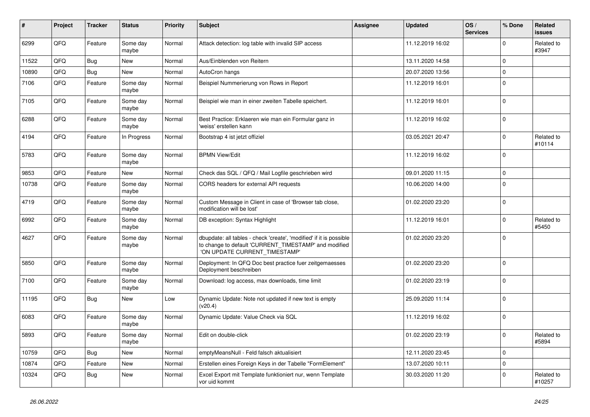| #     | Project | <b>Tracker</b> | <b>Status</b>     | <b>Priority</b> | <b>Subject</b>                                                                                                                                                | Assignee | <b>Updated</b>   | OS/<br><b>Services</b> | % Done      | Related<br><b>issues</b> |
|-------|---------|----------------|-------------------|-----------------|---------------------------------------------------------------------------------------------------------------------------------------------------------------|----------|------------------|------------------------|-------------|--------------------------|
| 6299  | QFQ     | Feature        | Some day<br>maybe | Normal          | Attack detection: log table with invalid SIP access                                                                                                           |          | 11.12.2019 16:02 |                        | $\Omega$    | Related to<br>#3947      |
| 11522 | QFQ     | Bug            | New               | Normal          | Aus/Einblenden von Reitern                                                                                                                                    |          | 13.11.2020 14:58 |                        | $\mathbf 0$ |                          |
| 10890 | QFQ     | Bug            | New               | Normal          | AutoCron hangs                                                                                                                                                |          | 20.07.2020 13:56 |                        | $\mathbf 0$ |                          |
| 7106  | QFQ     | Feature        | Some day<br>maybe | Normal          | Beispiel Nummerierung von Rows in Report                                                                                                                      |          | 11.12.2019 16:01 |                        | $\mathbf 0$ |                          |
| 7105  | QFQ     | Feature        | Some day<br>maybe | Normal          | Beispiel wie man in einer zweiten Tabelle speichert.                                                                                                          |          | 11.12.2019 16:01 |                        | $\mathbf 0$ |                          |
| 6288  | QFQ     | Feature        | Some day<br>maybe | Normal          | Best Practice: Erklaeren wie man ein Formular ganz in<br>'weiss' erstellen kann                                                                               |          | 11.12.2019 16:02 |                        | $\mathbf 0$ |                          |
| 4194  | QFQ     | Feature        | In Progress       | Normal          | Bootstrap 4 ist jetzt offiziel                                                                                                                                |          | 03.05.2021 20:47 |                        | $\mathbf 0$ | Related to<br>#10114     |
| 5783  | QFQ     | Feature        | Some day<br>maybe | Normal          | <b>BPMN View/Edit</b>                                                                                                                                         |          | 11.12.2019 16:02 |                        | $\Omega$    |                          |
| 9853  | QFQ     | Feature        | New               | Normal          | Check das SQL / QFQ / Mail Logfile geschrieben wird                                                                                                           |          | 09.01.2020 11:15 |                        | $\mathbf 0$ |                          |
| 10738 | QFQ     | Feature        | Some day<br>maybe | Normal          | CORS headers for external API requests                                                                                                                        |          | 10.06.2020 14:00 |                        | $\Omega$    |                          |
| 4719  | QFQ     | Feature        | Some day<br>maybe | Normal          | Custom Message in Client in case of 'Browser tab close,<br>modification will be lost'                                                                         |          | 01.02.2020 23:20 |                        | $\mathbf 0$ |                          |
| 6992  | QFQ     | Feature        | Some day<br>maybe | Normal          | DB exception: Syntax Highlight                                                                                                                                |          | 11.12.2019 16:01 |                        | $\mathbf 0$ | Related to<br>#5450      |
| 4627  | QFQ     | Feature        | Some day<br>maybe | Normal          | dbupdate: all tables - check 'create', 'modified' if it is possible<br>to change to default 'CURRENT_TIMESTAMP' and modified<br>'ON UPDATE CURRENT_TIMESTAMP' |          | 01.02.2020 23:20 |                        | $\mathbf 0$ |                          |
| 5850  | QFQ     | Feature        | Some day<br>maybe | Normal          | Deployment: In QFQ Doc best practice fuer zeitgemaesses<br>Deployment beschreiben                                                                             |          | 01.02.2020 23:20 |                        | 0           |                          |
| 7100  | QFQ     | Feature        | Some day<br>maybe | Normal          | Download: log access, max downloads, time limit                                                                                                               |          | 01.02.2020 23:19 |                        | $\Omega$    |                          |
| 11195 | QFQ     | <b>Bug</b>     | New               | Low             | Dynamic Update: Note not updated if new text is empty<br>(v20.4)                                                                                              |          | 25.09.2020 11:14 |                        | $\Omega$    |                          |
| 6083  | QFQ     | Feature        | Some day<br>maybe | Normal          | Dynamic Update: Value Check via SQL                                                                                                                           |          | 11.12.2019 16:02 |                        | 0           |                          |
| 5893  | QFG     | Feature        | Some day<br>maybe | Normal          | Edit on double-click                                                                                                                                          |          | 01.02.2020 23:19 |                        | 0           | Related to<br>#5894      |
| 10759 | QFQ     | Bug            | New               | Normal          | emptyMeansNull - Feld falsch aktualisiert                                                                                                                     |          | 12.11.2020 23:45 |                        | 0           |                          |
| 10874 | QFQ     | Feature        | New               | Normal          | Erstellen eines Foreign Keys in der Tabelle "FormElement"                                                                                                     |          | 13.07.2020 10:11 |                        | $\mathbf 0$ |                          |
| 10324 | QFQ     | <b>Bug</b>     | New               | Normal          | Excel Export mit Template funktioniert nur, wenn Template<br>vor uid kommt                                                                                    |          | 30.03.2020 11:20 |                        | $\mathbf 0$ | Related to<br>#10257     |